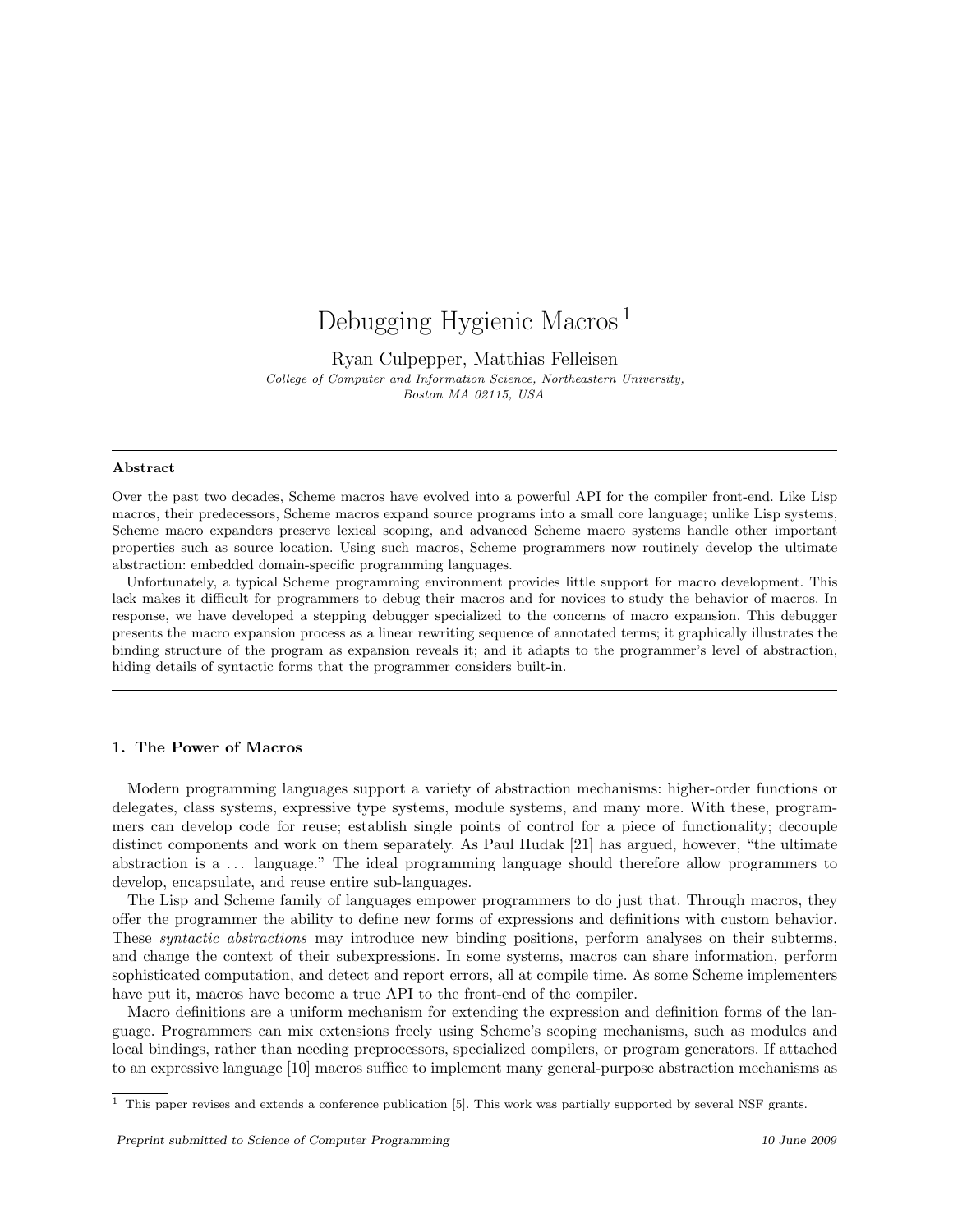# Debugging Hygienic Macros <sup>1</sup>

Ryan Culpepper, Matthias Felleisen

College of Computer and Information Science, Northeastern University, Boston MA 02115, USA

#### Abstract

Over the past two decades, Scheme macros have evolved into a powerful API for the compiler front-end. Like Lisp macros, their predecessors, Scheme macros expand source programs into a small core language; unlike Lisp systems, Scheme macro expanders preserve lexical scoping, and advanced Scheme macro systems handle other important properties such as source location. Using such macros, Scheme programmers now routinely develop the ultimate abstraction: embedded domain-specific programming languages.

Unfortunately, a typical Scheme programming environment provides little support for macro development. This lack makes it difficult for programmers to debug their macros and for novices to study the behavior of macros. In response, we have developed a stepping debugger specialized to the concerns of macro expansion. This debugger presents the macro expansion process as a linear rewriting sequence of annotated terms; it graphically illustrates the binding structure of the program as expansion reveals it; and it adapts to the programmer's level of abstraction, hiding details of syntactic forms that the programmer considers built-in.

# 1. The Power of Macros

Modern programming languages support a variety of abstraction mechanisms: higher-order functions or delegates, class systems, expressive type systems, module systems, and many more. With these, programmers can develop code for reuse; establish single points of control for a piece of functionality; decouple distinct components and work on them separately. As Paul Hudak [21] has argued, however, "the ultimate abstraction is a . . . language." The ideal programming language should therefore allow programmers to develop, encapsulate, and reuse entire sub-languages.

The Lisp and Scheme family of languages empower programmers to do just that. Through macros, they offer the programmer the ability to define new forms of expressions and definitions with custom behavior. These syntactic abstractions may introduce new binding positions, perform analyses on their subterms, and change the context of their subexpressions. In some systems, macros can share information, perform sophisticated computation, and detect and report errors, all at compile time. As some Scheme implementers have put it, macros have become a true API to the front-end of the compiler.

Macro definitions are a uniform mechanism for extending the expression and definition forms of the language. Programmers can mix extensions freely using Scheme's scoping mechanisms, such as modules and local bindings, rather than needing preprocessors, specialized compilers, or program generators. If attached to an expressive language [10] macros suffice to implement many general-purpose abstraction mechanisms as

<sup>&</sup>lt;sup>1</sup> This paper revises and extends a conference publication [5]. This work was partially supported by several NSF grants.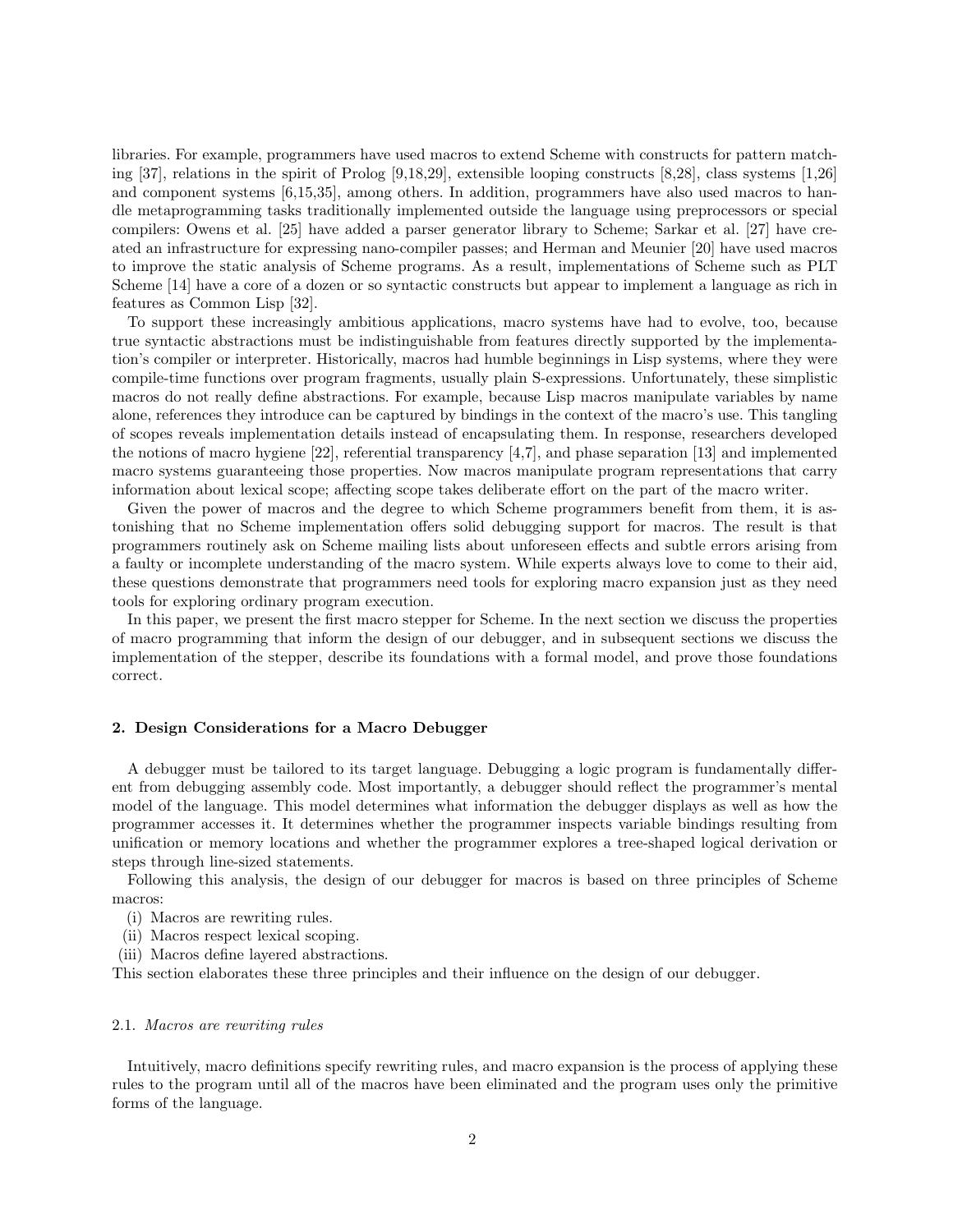libraries. For example, programmers have used macros to extend Scheme with constructs for pattern matching [37], relations in the spirit of Prolog [9,18,29], extensible looping constructs [8,28], class systems [1,26] and component systems [6,15,35], among others. In addition, programmers have also used macros to handle metaprogramming tasks traditionally implemented outside the language using preprocessors or special compilers: Owens et al. [25] have added a parser generator library to Scheme; Sarkar et al. [27] have created an infrastructure for expressing nano-compiler passes; and Herman and Meunier [20] have used macros to improve the static analysis of Scheme programs. As a result, implementations of Scheme such as PLT Scheme [14] have a core of a dozen or so syntactic constructs but appear to implement a language as rich in features as Common Lisp [32].

To support these increasingly ambitious applications, macro systems have had to evolve, too, because true syntactic abstractions must be indistinguishable from features directly supported by the implementation's compiler or interpreter. Historically, macros had humble beginnings in Lisp systems, where they were compile-time functions over program fragments, usually plain S-expressions. Unfortunately, these simplistic macros do not really define abstractions. For example, because Lisp macros manipulate variables by name alone, references they introduce can be captured by bindings in the context of the macro's use. This tangling of scopes reveals implementation details instead of encapsulating them. In response, researchers developed the notions of macro hygiene [22], referential transparency [4,7], and phase separation [13] and implemented macro systems guaranteeing those properties. Now macros manipulate program representations that carry information about lexical scope; affecting scope takes deliberate effort on the part of the macro writer.

Given the power of macros and the degree to which Scheme programmers benefit from them, it is astonishing that no Scheme implementation offers solid debugging support for macros. The result is that programmers routinely ask on Scheme mailing lists about unforeseen effects and subtle errors arising from a faulty or incomplete understanding of the macro system. While experts always love to come to their aid, these questions demonstrate that programmers need tools for exploring macro expansion just as they need tools for exploring ordinary program execution.

In this paper, we present the first macro stepper for Scheme. In the next section we discuss the properties of macro programming that inform the design of our debugger, and in subsequent sections we discuss the implementation of the stepper, describe its foundations with a formal model, and prove those foundations correct.

# 2. Design Considerations for a Macro Debugger

A debugger must be tailored to its target language. Debugging a logic program is fundamentally different from debugging assembly code. Most importantly, a debugger should reflect the programmer's mental model of the language. This model determines what information the debugger displays as well as how the programmer accesses it. It determines whether the programmer inspects variable bindings resulting from unification or memory locations and whether the programmer explores a tree-shaped logical derivation or steps through line-sized statements.

Following this analysis, the design of our debugger for macros is based on three principles of Scheme macros:

- (i) Macros are rewriting rules.
- (ii) Macros respect lexical scoping.
- (iii) Macros define layered abstractions.

This section elaborates these three principles and their influence on the design of our debugger.

#### 2.1. Macros are rewriting rules

Intuitively, macro definitions specify rewriting rules, and macro expansion is the process of applying these rules to the program until all of the macros have been eliminated and the program uses only the primitive forms of the language.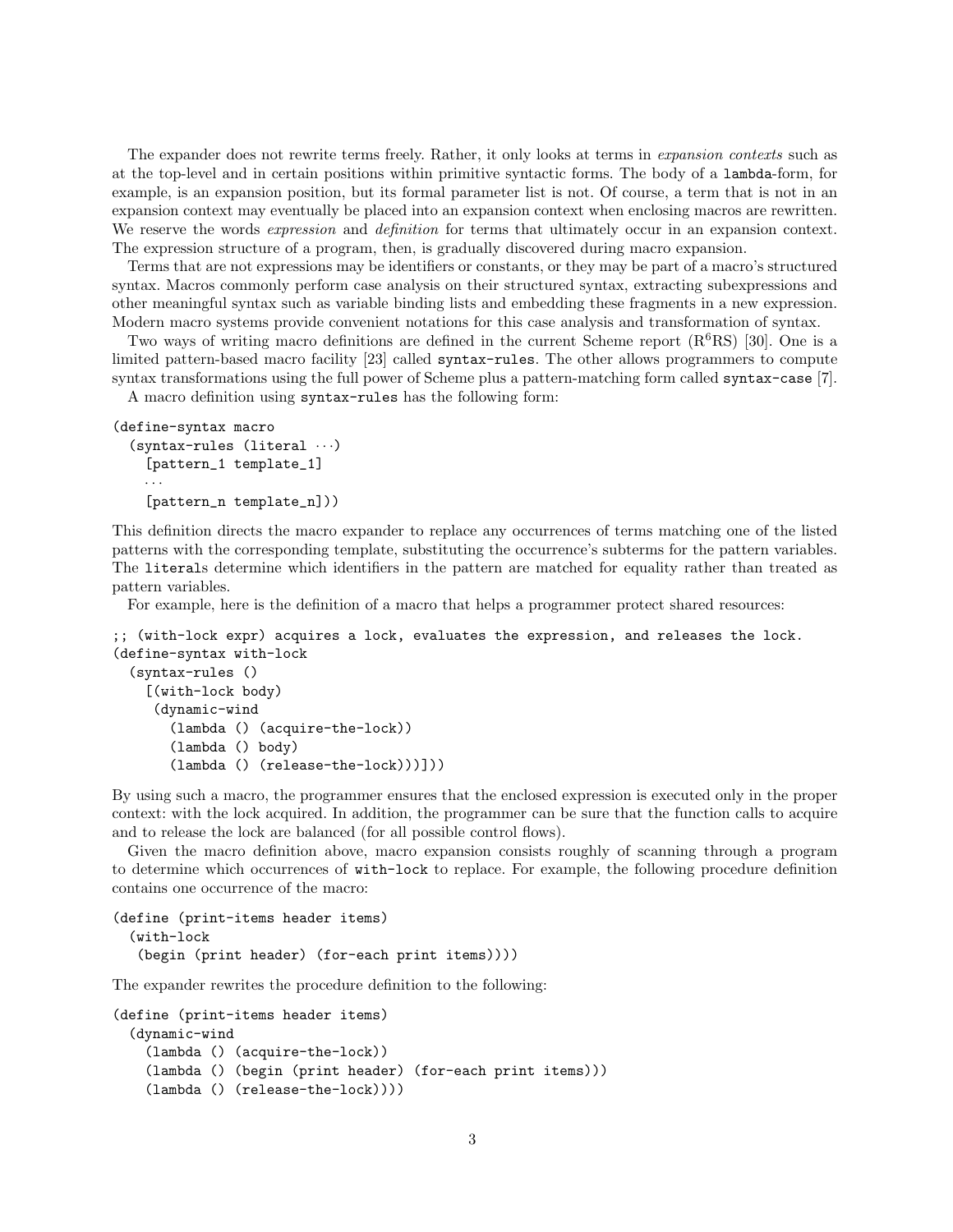The expander does not rewrite terms freely. Rather, it only looks at terms in expansion contexts such as at the top-level and in certain positions within primitive syntactic forms. The body of a lambda-form, for example, is an expansion position, but its formal parameter list is not. Of course, a term that is not in an expansion context may eventually be placed into an expansion context when enclosing macros are rewritten. We reserve the words *expression* and *definition* for terms that ultimately occur in an expansion context. The expression structure of a program, then, is gradually discovered during macro expansion.

Terms that are not expressions may be identifiers or constants, or they may be part of a macro's structured syntax. Macros commonly perform case analysis on their structured syntax, extracting subexpressions and other meaningful syntax such as variable binding lists and embedding these fragments in a new expression. Modern macro systems provide convenient notations for this case analysis and transformation of syntax.

Two ways of writing macro definitions are defined in the current Scheme report  $(R^{6}RS)$  [30]. One is a limited pattern-based macro facility [23] called syntax-rules. The other allows programmers to compute syntax transformations using the full power of Scheme plus a pattern-matching form called syntax-case [7]. A macro definition using syntax-rules has the following form:

```
(define-syntax macro
```

```
(syntax-rules (literal ...))[pattern_1 template_1]
 · · ·
  [pattern_n template_n]))
```
This definition directs the macro expander to replace any occurrences of terms matching one of the listed patterns with the corresponding template, substituting the occurrence's subterms for the pattern variables. The literals determine which identifiers in the pattern are matched for equality rather than treated as pattern variables.

For example, here is the definition of a macro that helps a programmer protect shared resources:

```
;; (with-lock expr) acquires a lock, evaluates the expression, and releases the lock.
(define-syntax with-lock
  (syntax-rules ()
    [(with-lock body)
     (dynamic-wind
       (lambda () (acquire-the-lock))
       (lambda () body)
       (lambda () (release-the-lock)))]))
```
By using such a macro, the programmer ensures that the enclosed expression is executed only in the proper context: with the lock acquired. In addition, the programmer can be sure that the function calls to acquire and to release the lock are balanced (for all possible control flows).

Given the macro definition above, macro expansion consists roughly of scanning through a program to determine which occurrences of with-lock to replace. For example, the following procedure definition contains one occurrence of the macro:

```
(define (print-items header items)
  (with-lock
  (begin (print header) (for-each print items))))
```
The expander rewrites the procedure definition to the following:

```
(define (print-items header items)
  (dynamic-wind
   (lambda () (acquire-the-lock))
    (lambda () (begin (print header) (for-each print items)))
    (lambda () (release-the-lock))))
```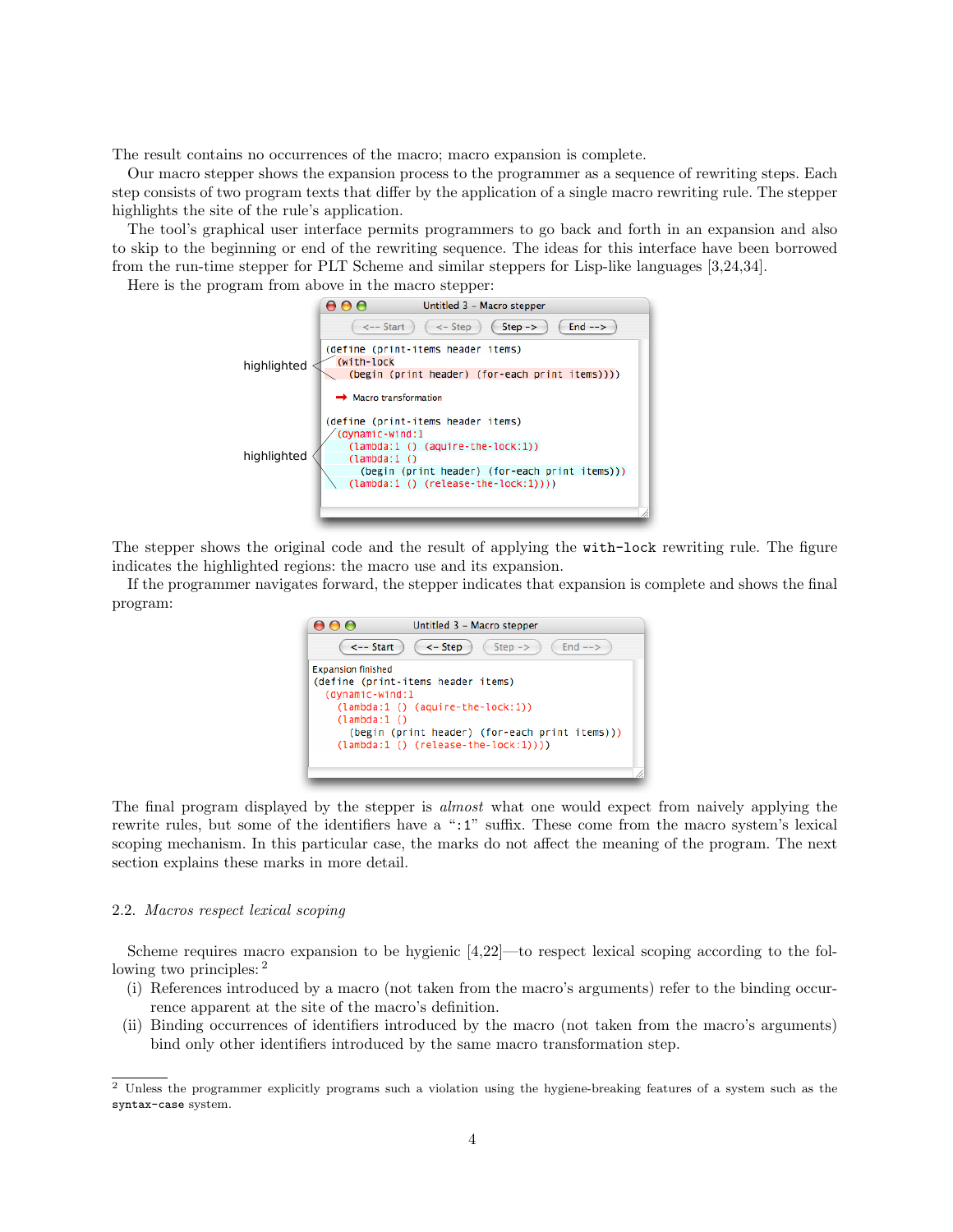The result contains no occurrences of the macro; macro expansion is complete.

Our macro stepper shows the expansion process to the programmer as a sequence of rewriting steps. Each step consists of two program texts that differ by the application of a single macro rewriting rule. The stepper highlights the site of the rule's application.

The tool's graphical user interface permits programmers to go back and forth in an expansion and also to skip to the beginning or end of the rewriting sequence. The ideas for this interface have been borrowed from the run-time stepper for PLT Scheme and similar steppers for Lisp-like languages [3,24,34].

Here is the program from above in the macro stepper:



The stepper shows the original code and the result of applying the with-lock rewriting rule. The figure indicates the highlighted regions: the macro use and its expansion.

If the programmer navigates forward, the stepper indicates that expansion is complete and shows the final program:



The final program displayed by the stepper is almost what one would expect from naively applying the rewrite rules, but some of the identifiers have a ":1" suffix. These come from the macro system's lexical scoping mechanism. In this particular case, the marks do not affect the meaning of the program. The next section explains these marks in more detail.

#### 2.2. Macros respect lexical scoping

Scheme requires macro expansion to be hygienic [4,22]—to respect lexical scoping according to the following two principles: <sup>2</sup>

- (i) References introduced by a macro (not taken from the macro's arguments) refer to the binding occurrence apparent at the site of the macro's definition.
- (ii) Binding occurrences of identifiers introduced by the macro (not taken from the macro's arguments) bind only other identifiers introduced by the same macro transformation step.

 $\overline{2}$  Unless the programmer explicitly programs such a violation using the hygiene-breaking features of a system such as the syntax-case system.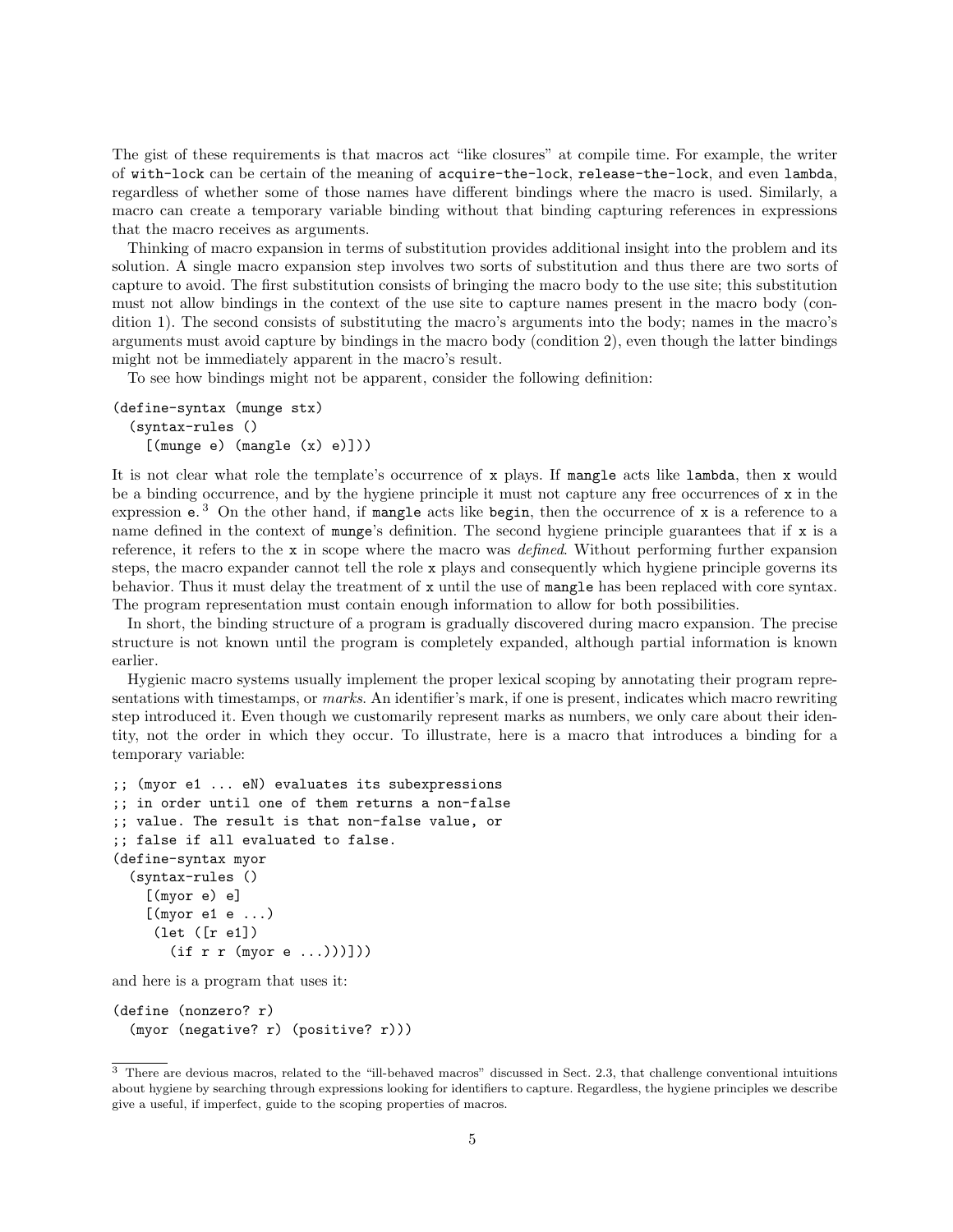The gist of these requirements is that macros act "like closures" at compile time. For example, the writer of with-lock can be certain of the meaning of acquire-the-lock, release-the-lock, and even lambda, regardless of whether some of those names have different bindings where the macro is used. Similarly, a macro can create a temporary variable binding without that binding capturing references in expressions that the macro receives as arguments.

Thinking of macro expansion in terms of substitution provides additional insight into the problem and its solution. A single macro expansion step involves two sorts of substitution and thus there are two sorts of capture to avoid. The first substitution consists of bringing the macro body to the use site; this substitution must not allow bindings in the context of the use site to capture names present in the macro body (condition 1). The second consists of substituting the macro's arguments into the body; names in the macro's arguments must avoid capture by bindings in the macro body (condition 2), even though the latter bindings might not be immediately apparent in the macro's result.

To see how bindings might not be apparent, consider the following definition:

```
(define-syntax (munge stx)
  (syntax-rules ()
    [(munge e) (mangle (x) e)]
```
It is not clear what role the template's occurrence of x plays. If mangle acts like lambda, then x would be a binding occurrence, and by the hygiene principle it must not capture any free occurrences of x in the expression e.<sup>3</sup> On the other hand, if mangle acts like begin, then the occurrence of x is a reference to a name defined in the context of munge's definition. The second hygiene principle guarantees that if x is a reference, it refers to the x in scope where the macro was defined. Without performing further expansion steps, the macro expander cannot tell the role x plays and consequently which hygiene principle governs its behavior. Thus it must delay the treatment of x until the use of mangle has been replaced with core syntax. The program representation must contain enough information to allow for both possibilities.

In short, the binding structure of a program is gradually discovered during macro expansion. The precise structure is not known until the program is completely expanded, although partial information is known earlier.

Hygienic macro systems usually implement the proper lexical scoping by annotating their program representations with timestamps, or *marks*. An identifier's mark, if one is present, indicates which macro rewriting step introduced it. Even though we customarily represent marks as numbers, we only care about their identity, not the order in which they occur. To illustrate, here is a macro that introduces a binding for a temporary variable:

```
;; (myor e1 ... eN) evaluates its subexpressions
;; in order until one of them returns a non-false
;; value. The result is that non-false value, or
;; false if all evaluated to false.
(define-syntax myor
  (syntax-rules ()
    [(myor e) e]
    [(myor e1 e ...)
     (let ([r e1])
       (if r r (myor e ...)))])
```
and here is a program that uses it:

```
(define (nonzero? r)
  (myor (negative? r) (positive? r)))
```
<sup>3</sup> There are devious macros, related to the "ill-behaved macros" discussed in Sect. 2.3, that challenge conventional intuitions about hygiene by searching through expressions looking for identifiers to capture. Regardless, the hygiene principles we describe give a useful, if imperfect, guide to the scoping properties of macros.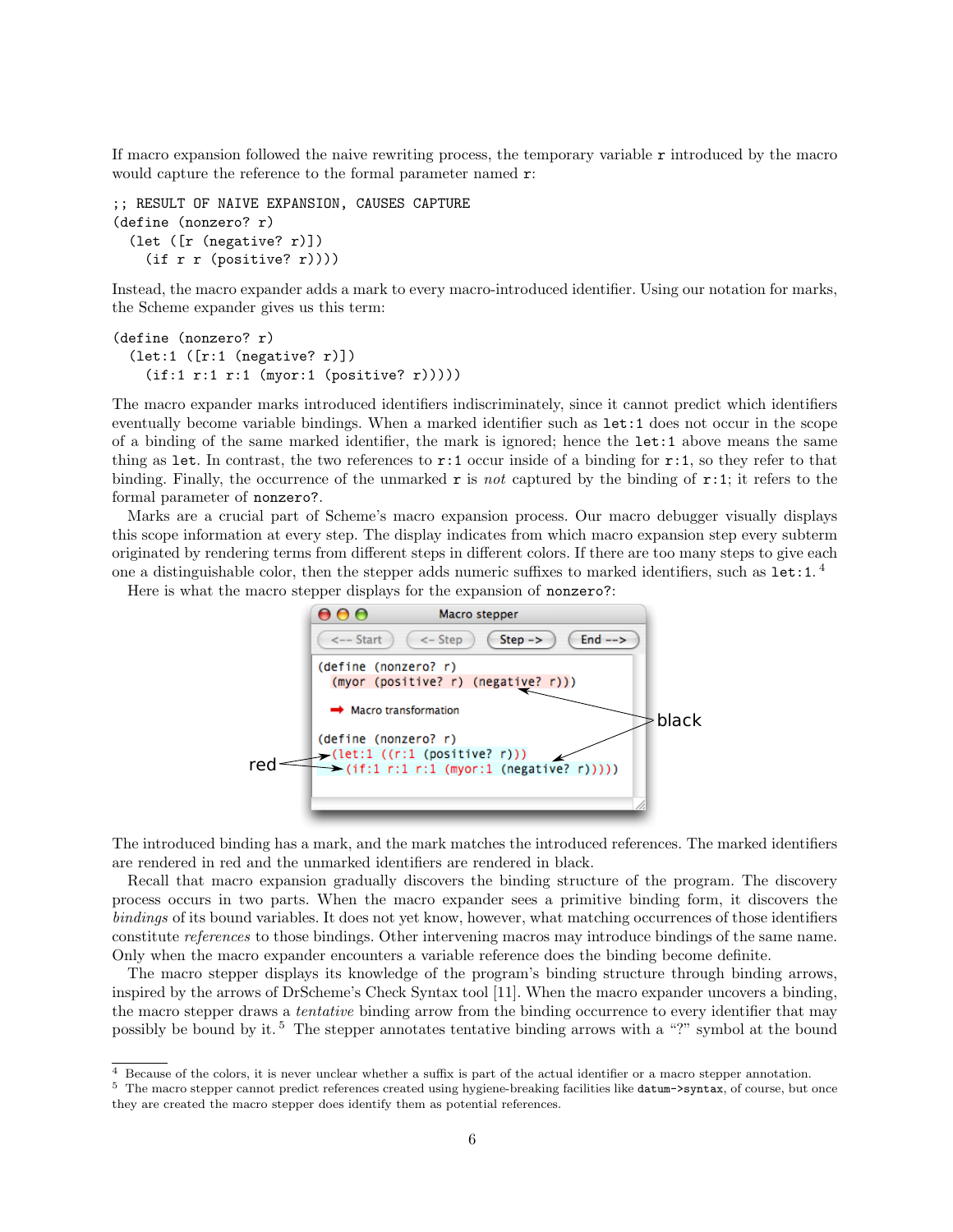If macro expansion followed the naive rewriting process, the temporary variable  $\mathbf r$  introduced by the macro would capture the reference to the formal parameter named r:

```
;; RESULT OF NAIVE EXPANSION, CAUSES CAPTURE
(define (nonzero? r)
  (let ([r (negative? r)])
    (if r r (positive? r))))
```
Instead, the macro expander adds a mark to every macro-introduced identifier. Using our notation for marks, the Scheme expander gives us this term:

```
(define (nonzero? r)
  (let:1 ([r:1 (negative? r)])
    (if:1 r:1 r:1 (myor:1 (positive? r))))
```
The macro expander marks introduced identifiers indiscriminately, since it cannot predict which identifiers eventually become variable bindings. When a marked identifier such as let:1 does not occur in the scope of a binding of the same marked identifier, the mark is ignored; hence the let:1 above means the same thing as let. In contrast, the two references to  $r:1$  occur inside of a binding for  $r:1$ , so they refer to that binding. Finally, the occurrence of the unmarked  $\mathbf r$  is not captured by the binding of  $\mathbf r:1$ ; it refers to the formal parameter of nonzero?.

Marks are a crucial part of Scheme's macro expansion process. Our macro debugger visually displays this scope information at every step. The display indicates from which macro expansion step every subterm originated by rendering terms from different steps in different colors. If there are too many steps to give each one a distinguishable color, then the stepper adds numeric suffixes to marked identifiers, such as  $1e^{t}$ :  $1<sup>4</sup>$ 

Here is what the macro stepper displays for the expansion of nonzero?:



The introduced binding has a mark, and the mark matches the introduced references. The marked identifiers are rendered in red and the unmarked identifiers are rendered in black.

Recall that macro expansion gradually discovers the binding structure of the program. The discovery process occurs in two parts. When the macro expander sees a primitive binding form, it discovers the bindings of its bound variables. It does not yet know, however, what matching occurrences of those identifiers constitute references to those bindings. Other intervening macros may introduce bindings of the same name. Only when the macro expander encounters a variable reference does the binding become definite.

The macro stepper displays its knowledge of the program's binding structure through binding arrows, inspired by the arrows of DrScheme's Check Syntax tool [11]. When the macro expander uncovers a binding, the macro stepper draws a *tentative* binding arrow from the binding occurrence to every identifier that may possibly be bound by it. <sup>5</sup> The stepper annotates tentative binding arrows with a "?" symbol at the bound

<sup>4</sup> Because of the colors, it is never unclear whether a suffix is part of the actual identifier or a macro stepper annotation.

<sup>5</sup> The macro stepper cannot predict references created using hygiene-breaking facilities like datum->syntax, of course, but once they are created the macro stepper does identify them as potential references.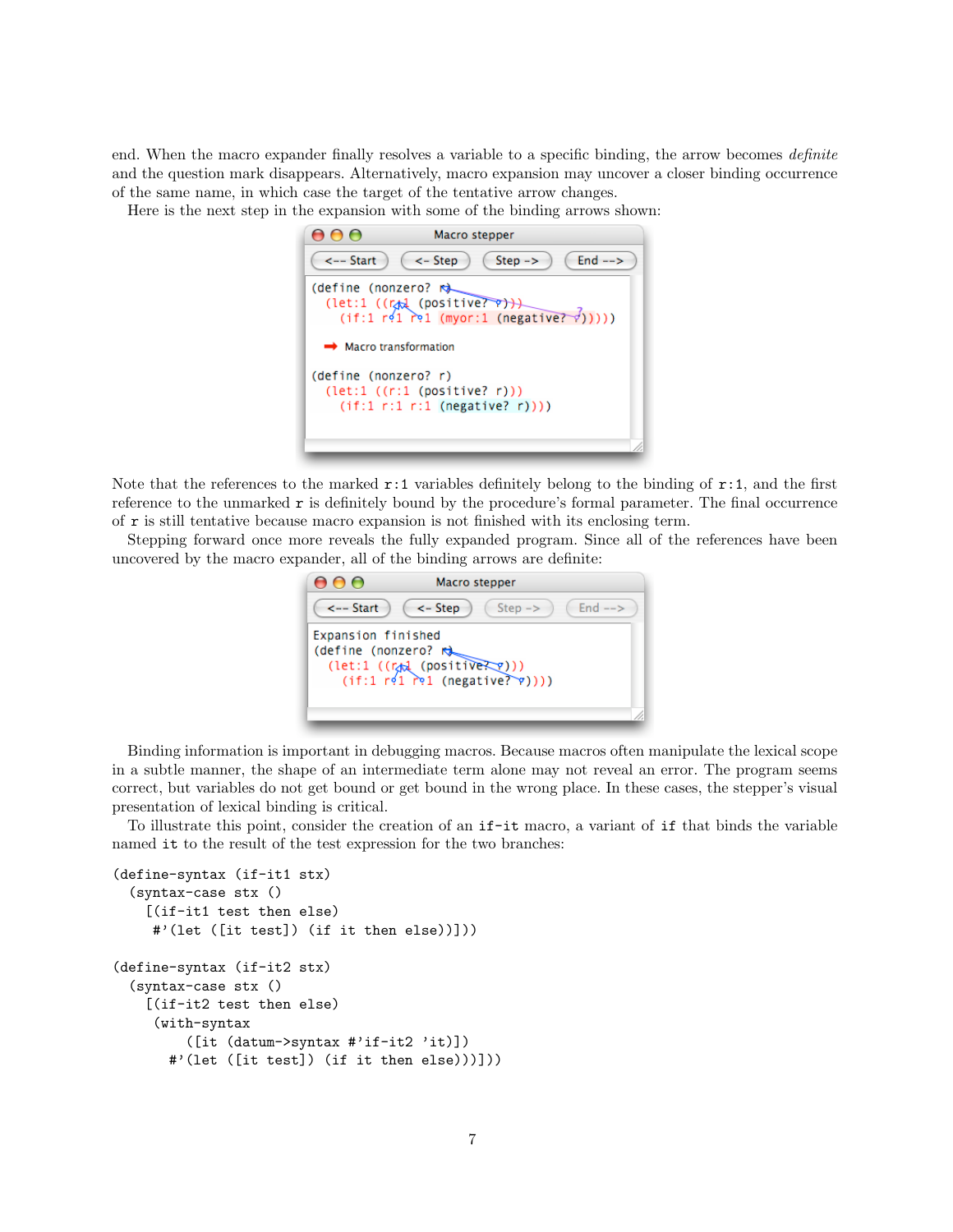end. When the macro expander finally resolves a variable to a specific binding, the arrow becomes *definite* and the question mark disappears. Alternatively, macro expansion may uncover a closer binding occurrence of the same name, in which case the target of the tentative arrow changes.

Here is the next step in the expansion with some of the binding arrows shown:



Note that the references to the marked  $r:1$  variables definitely belong to the binding of  $r:1$ , and the first reference to the unmarked  $\mathbf r$  is definitely bound by the procedure's formal parameter. The final occurrence of r is still tentative because macro expansion is not finished with its enclosing term.

Stepping forward once more reveals the fully expanded program. Since all of the references have been uncovered by the macro expander, all of the binding arrows are definite:



Binding information is important in debugging macros. Because macros often manipulate the lexical scope in a subtle manner, the shape of an intermediate term alone may not reveal an error. The program seems correct, but variables do not get bound or get bound in the wrong place. In these cases, the stepper's visual presentation of lexical binding is critical.

To illustrate this point, consider the creation of an if-it macro, a variant of if that binds the variable named it to the result of the test expression for the two branches:

```
(define-syntax (if-it1 stx)
  (syntax-case stx ()
    [(if-it1 test then else)
    #'(let ([it test]) (if it then else))]))
(define-syntax (if-it2 stx)
  (syntax-case stx ()
    [(if-it2 test then else)
     (with-syntax
         ([it (datum->syntax #'if-it2 'it)])
      #'(let ([it test]) (if it then else)))]))
```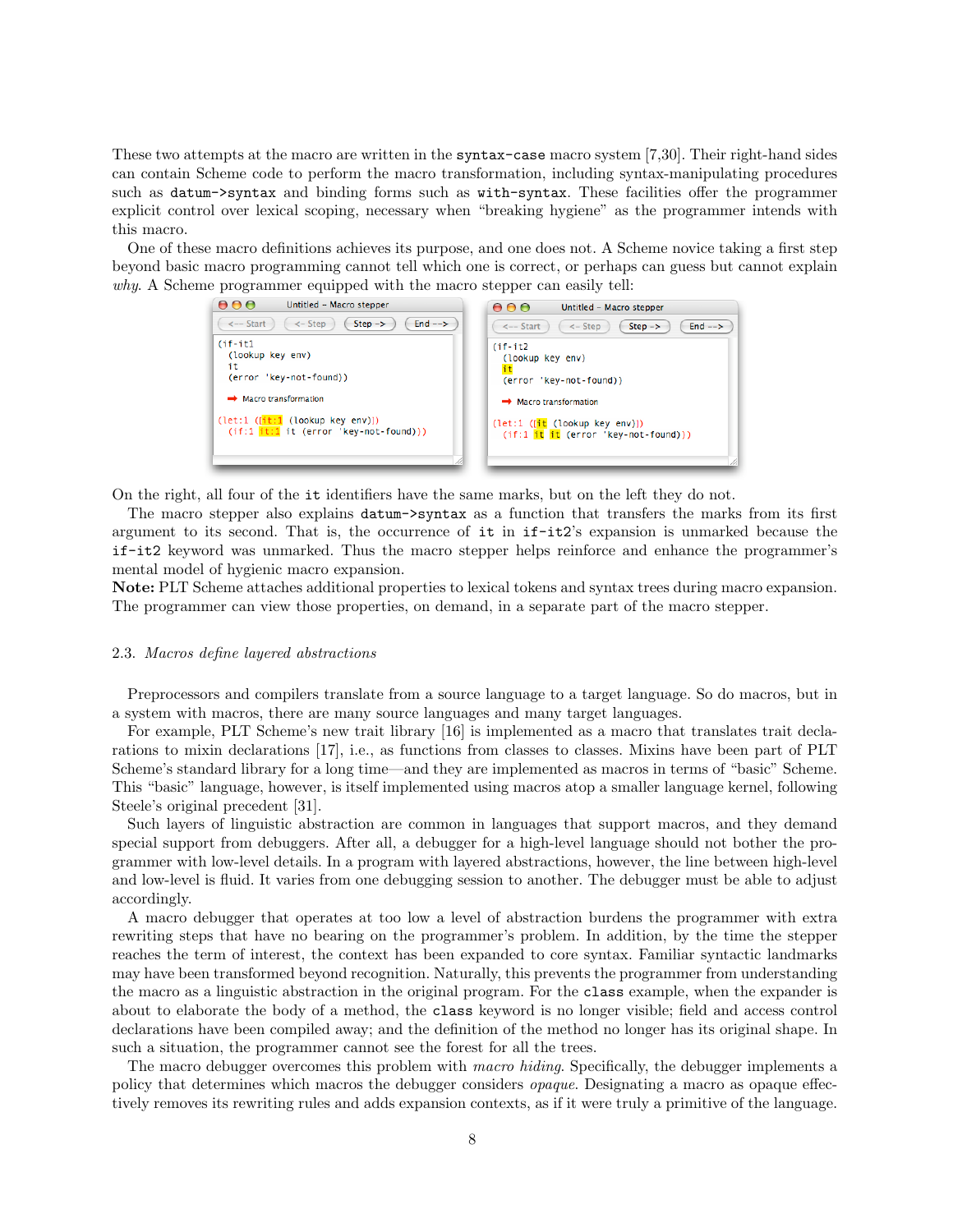These two attempts at the macro are written in the syntax-case macro system [7,30]. Their right-hand sides can contain Scheme code to perform the macro transformation, including syntax-manipulating procedures such as datum->syntax and binding forms such as with-syntax. These facilities offer the programmer explicit control over lexical scoping, necessary when "breaking hygiene" as the programmer intends with this macro.

One of these macro definitions achieves its purpose, and one does not. A Scheme novice taking a first step beyond basic macro programming cannot tell which one is correct, or perhaps can guess but cannot explain why. A Scheme programmer equipped with the macro stepper can easily tell:



On the right, all four of the it identifiers have the same marks, but on the left they do not.

The macro stepper also explains datum->syntax as a function that transfers the marks from its first argument to its second. That is, the occurrence of it in if-it2's expansion is unmarked because the if-it2 keyword was unmarked. Thus the macro stepper helps reinforce and enhance the programmer's mental model of hygienic macro expansion.

Note: PLT Scheme attaches additional properties to lexical tokens and syntax trees during macro expansion. The programmer can view those properties, on demand, in a separate part of the macro stepper.

## 2.3. Macros define layered abstractions

Preprocessors and compilers translate from a source language to a target language. So do macros, but in a system with macros, there are many source languages and many target languages.

For example, PLT Scheme's new trait library [16] is implemented as a macro that translates trait declarations to mixin declarations [17], i.e., as functions from classes to classes. Mixins have been part of PLT Scheme's standard library for a long time—and they are implemented as macros in terms of "basic" Scheme. This "basic" language, however, is itself implemented using macros atop a smaller language kernel, following Steele's original precedent [31].

Such layers of linguistic abstraction are common in languages that support macros, and they demand special support from debuggers. After all, a debugger for a high-level language should not bother the programmer with low-level details. In a program with layered abstractions, however, the line between high-level and low-level is fluid. It varies from one debugging session to another. The debugger must be able to adjust accordingly.

A macro debugger that operates at too low a level of abstraction burdens the programmer with extra rewriting steps that have no bearing on the programmer's problem. In addition, by the time the stepper reaches the term of interest, the context has been expanded to core syntax. Familiar syntactic landmarks may have been transformed beyond recognition. Naturally, this prevents the programmer from understanding the macro as a linguistic abstraction in the original program. For the class example, when the expander is about to elaborate the body of a method, the class keyword is no longer visible; field and access control declarations have been compiled away; and the definition of the method no longer has its original shape. In such a situation, the programmer cannot see the forest for all the trees.

The macro debugger overcomes this problem with macro hiding. Specifically, the debugger implements a policy that determines which macros the debugger considers opaque. Designating a macro as opaque effectively removes its rewriting rules and adds expansion contexts, as if it were truly a primitive of the language.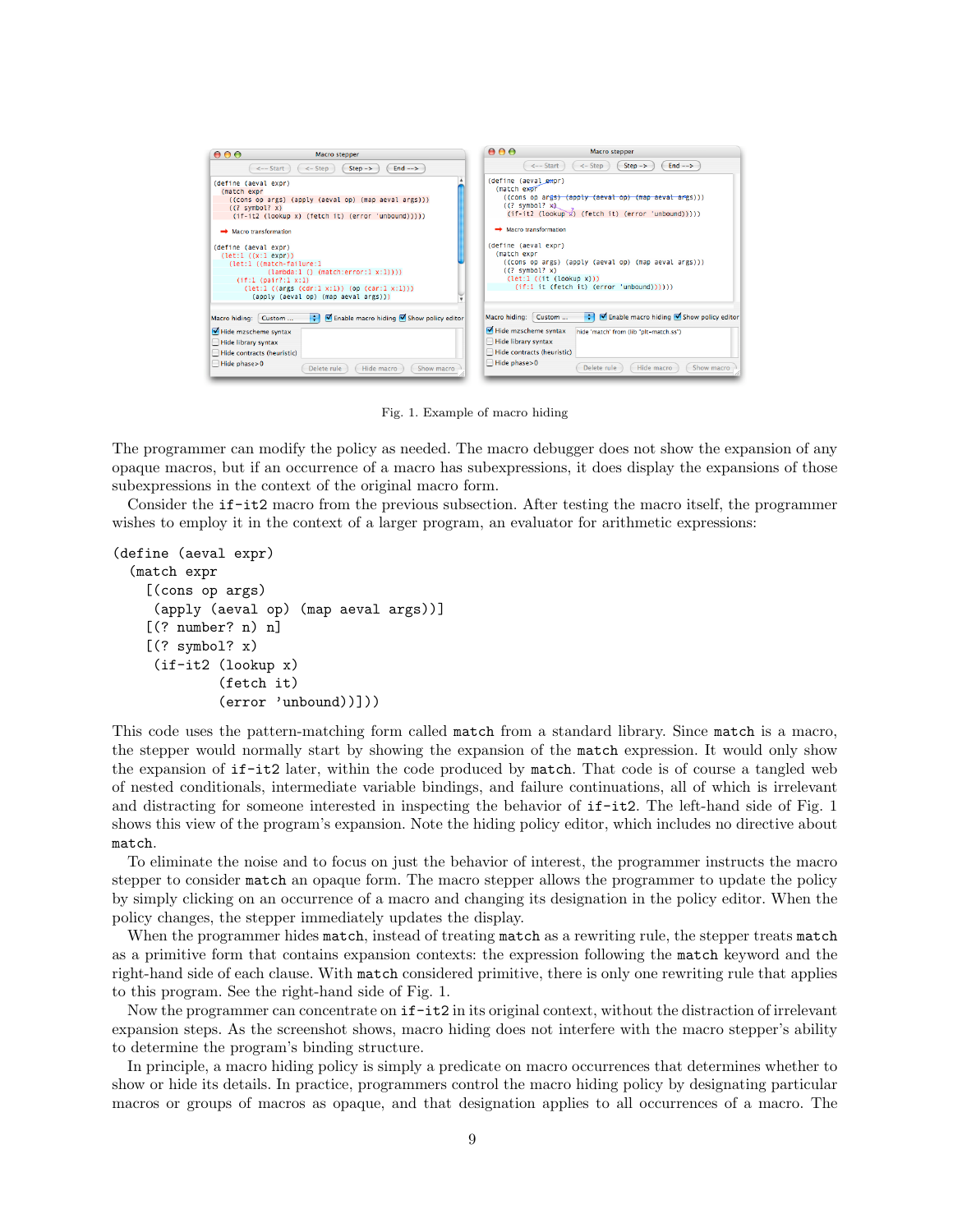

Fig. 1. Example of macro hiding

The programmer can modify the policy as needed. The macro debugger does not show the expansion of any opaque macros, but if an occurrence of a macro has subexpressions, it does display the expansions of those subexpressions in the context of the original macro form.

Consider the if-it2 macro from the previous subsection. After testing the macro itself, the programmer wishes to employ it in the context of a larger program, an evaluator for arithmetic expressions:

```
(define (aeval expr)
  (match expr
    [(cons op args)
     (apply (aeval op) (map aeval args))]
    [(? number? n) n]
    [(? symbol? x)](if-it2 (lookup x)
             (fetch it)
             (error 'unbound))]))
```
This code uses the pattern-matching form called match from a standard library. Since match is a macro, the stepper would normally start by showing the expansion of the match expression. It would only show the expansion of if-it2 later, within the code produced by match. That code is of course a tangled web of nested conditionals, intermediate variable bindings, and failure continuations, all of which is irrelevant and distracting for someone interested in inspecting the behavior of  $if-itz$ . The left-hand side of Fig. 1 shows this view of the program's expansion. Note the hiding policy editor, which includes no directive about match.

To eliminate the noise and to focus on just the behavior of interest, the programmer instructs the macro stepper to consider match an opaque form. The macro stepper allows the programmer to update the policy by simply clicking on an occurrence of a macro and changing its designation in the policy editor. When the policy changes, the stepper immediately updates the display.

When the programmer hides match, instead of treating match as a rewriting rule, the stepper treats match as a primitive form that contains expansion contexts: the expression following the match keyword and the right-hand side of each clause. With match considered primitive, there is only one rewriting rule that applies to this program. See the right-hand side of Fig. 1.

Now the programmer can concentrate on if-it2 in its original context, without the distraction of irrelevant expansion steps. As the screenshot shows, macro hiding does not interfere with the macro stepper's ability to determine the program's binding structure.

In principle, a macro hiding policy is simply a predicate on macro occurrences that determines whether to show or hide its details. In practice, programmers control the macro hiding policy by designating particular macros or groups of macros as opaque, and that designation applies to all occurrences of a macro. The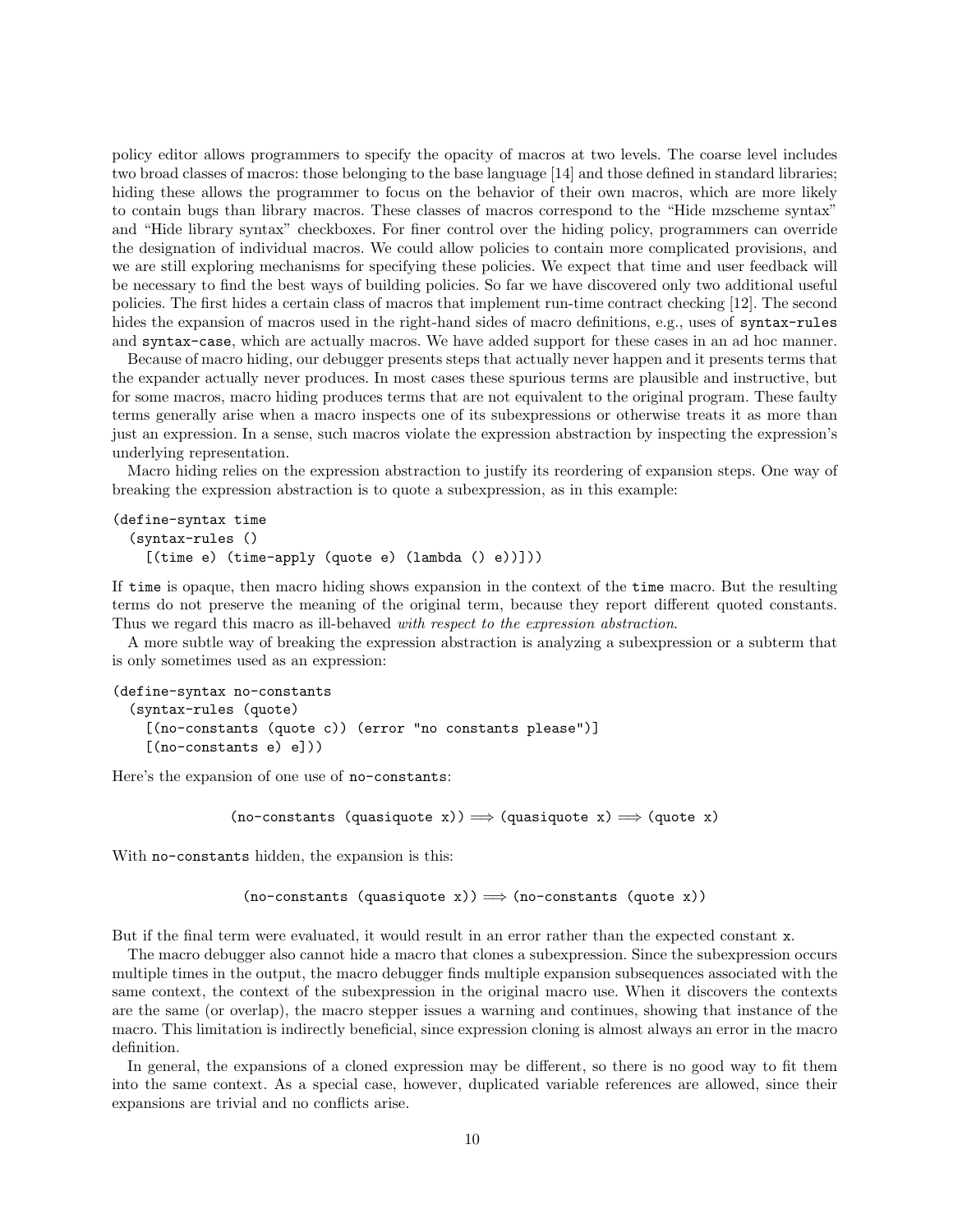policy editor allows programmers to specify the opacity of macros at two levels. The coarse level includes two broad classes of macros: those belonging to the base language [14] and those defined in standard libraries; hiding these allows the programmer to focus on the behavior of their own macros, which are more likely to contain bugs than library macros. These classes of macros correspond to the "Hide mzscheme syntax" and "Hide library syntax" checkboxes. For finer control over the hiding policy, programmers can override the designation of individual macros. We could allow policies to contain more complicated provisions, and we are still exploring mechanisms for specifying these policies. We expect that time and user feedback will be necessary to find the best ways of building policies. So far we have discovered only two additional useful policies. The first hides a certain class of macros that implement run-time contract checking [12]. The second hides the expansion of macros used in the right-hand sides of macro definitions, e.g., uses of syntax-rules and syntax-case, which are actually macros. We have added support for these cases in an ad hoc manner.

Because of macro hiding, our debugger presents steps that actually never happen and it presents terms that the expander actually never produces. In most cases these spurious terms are plausible and instructive, but for some macros, macro hiding produces terms that are not equivalent to the original program. These faulty terms generally arise when a macro inspects one of its subexpressions or otherwise treats it as more than just an expression. In a sense, such macros violate the expression abstraction by inspecting the expression's underlying representation.

Macro hiding relies on the expression abstraction to justify its reordering of expansion steps. One way of breaking the expression abstraction is to quote a subexpression, as in this example:

```
(define-syntax time
  (syntax-rules ()
    [(time e) (time-apply (quote e) (lambda () e))]))
```
If time is opaque, then macro hiding shows expansion in the context of the time macro. But the resulting terms do not preserve the meaning of the original term, because they report different quoted constants. Thus we regard this macro as ill-behaved with respect to the expression abstraction.

A more subtle way of breaking the expression abstraction is analyzing a subexpression or a subterm that is only sometimes used as an expression:

```
(define-syntax no-constants
  (syntax-rules (quote)
    [(no-constants (quote c)) (error "no constants please")]
    [(no-constants e) e]))
```
Here's the expansion of one use of no-constants:

```
(no-constants (quasiquote x)) \implies (quasiquote x) \implies (quote x)
```
With no-constants hidden, the expansion is this:

 $(no$ -constants (quasiquote x))  $\implies$  (no-constants (quote x))

But if the final term were evaluated, it would result in an error rather than the expected constant x.

The macro debugger also cannot hide a macro that clones a subexpression. Since the subexpression occurs multiple times in the output, the macro debugger finds multiple expansion subsequences associated with the same context, the context of the subexpression in the original macro use. When it discovers the contexts are the same (or overlap), the macro stepper issues a warning and continues, showing that instance of the macro. This limitation is indirectly beneficial, since expression cloning is almost always an error in the macro definition.

In general, the expansions of a cloned expression may be different, so there is no good way to fit them into the same context. As a special case, however, duplicated variable references are allowed, since their expansions are trivial and no conflicts arise.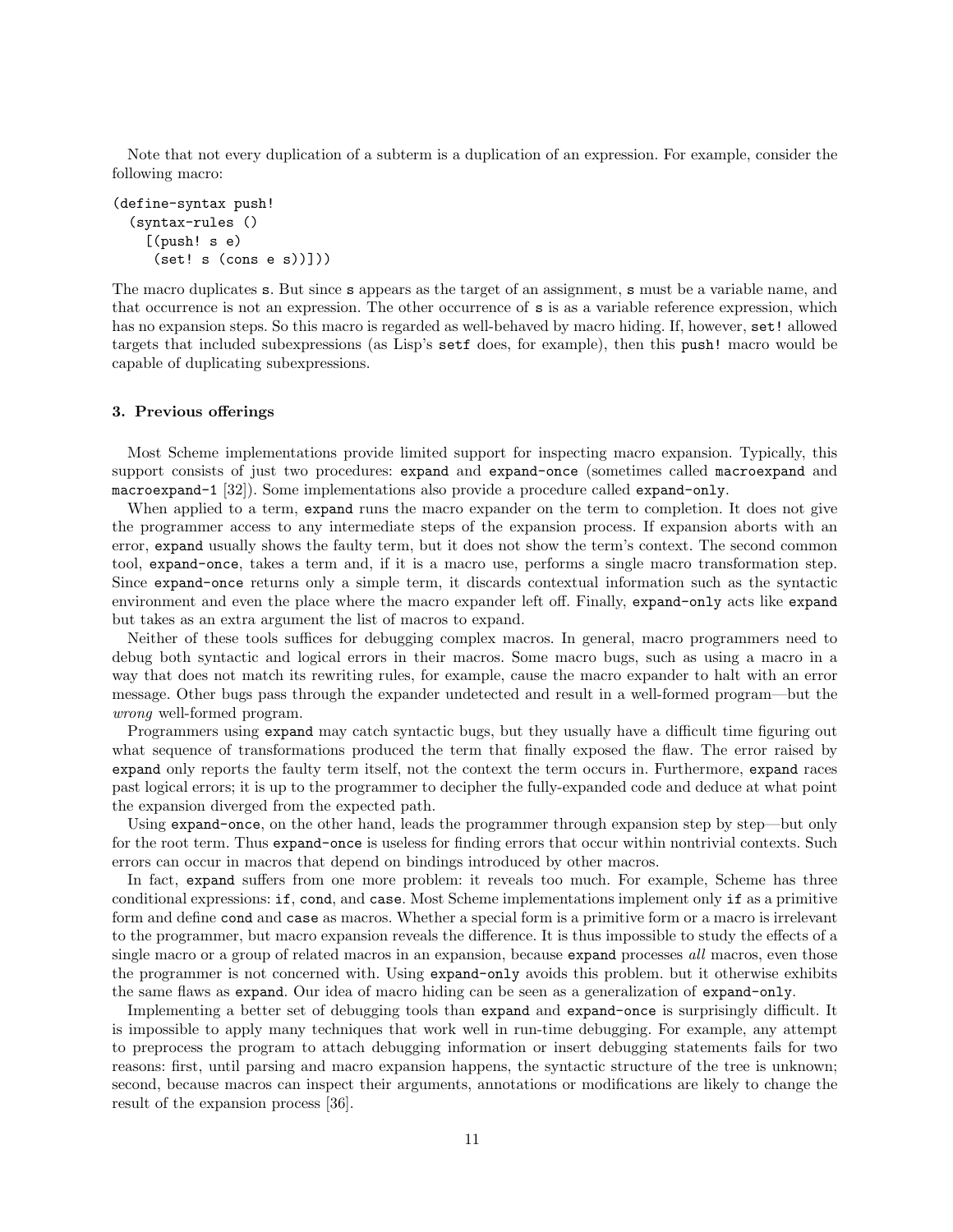Note that not every duplication of a subterm is a duplication of an expression. For example, consider the following macro:

```
(define-syntax push!
 (syntax-rules ()
   [(push! s e)
     (set! s (cons e s))]))
```
The macro duplicates s. But since s appears as the target of an assignment, s must be a variable name, and that occurrence is not an expression. The other occurrence of s is as a variable reference expression, which has no expansion steps. So this macro is regarded as well-behaved by macro hiding. If, however, set! allowed targets that included subexpressions (as Lisp's setf does, for example), then this push! macro would be capable of duplicating subexpressions.

# 3. Previous offerings

Most Scheme implementations provide limited support for inspecting macro expansion. Typically, this support consists of just two procedures: expand and expand-once (sometimes called macroexpand and macroexpand-1 [32]). Some implementations also provide a procedure called expand-only.

When applied to a term, expand runs the macro expander on the term to completion. It does not give the programmer access to any intermediate steps of the expansion process. If expansion aborts with an error, expand usually shows the faulty term, but it does not show the term's context. The second common tool, expand-once, takes a term and, if it is a macro use, performs a single macro transformation step. Since expand-once returns only a simple term, it discards contextual information such as the syntactic environment and even the place where the macro expander left off. Finally, expand-only acts like expand but takes as an extra argument the list of macros to expand.

Neither of these tools suffices for debugging complex macros. In general, macro programmers need to debug both syntactic and logical errors in their macros. Some macro bugs, such as using a macro in a way that does not match its rewriting rules, for example, cause the macro expander to halt with an error message. Other bugs pass through the expander undetected and result in a well-formed program—but the wrong well-formed program.

Programmers using expand may catch syntactic bugs, but they usually have a difficult time figuring out what sequence of transformations produced the term that finally exposed the flaw. The error raised by expand only reports the faulty term itself, not the context the term occurs in. Furthermore, expand races past logical errors; it is up to the programmer to decipher the fully-expanded code and deduce at what point the expansion diverged from the expected path.

Using expand-once, on the other hand, leads the programmer through expansion step by step—but only for the root term. Thus expand-once is useless for finding errors that occur within nontrivial contexts. Such errors can occur in macros that depend on bindings introduced by other macros.

In fact, expand suffers from one more problem: it reveals too much. For example, Scheme has three conditional expressions: if, cond, and case. Most Scheme implementations implement only if as a primitive form and define cond and case as macros. Whether a special form is a primitive form or a macro is irrelevant to the programmer, but macro expansion reveals the difference. It is thus impossible to study the effects of a single macro or a group of related macros in an expansion, because expand processes *all* macros, even those the programmer is not concerned with. Using expand-only avoids this problem. but it otherwise exhibits the same flaws as expand. Our idea of macro hiding can be seen as a generalization of expand-only.

Implementing a better set of debugging tools than expand and expand-once is surprisingly difficult. It is impossible to apply many techniques that work well in run-time debugging. For example, any attempt to preprocess the program to attach debugging information or insert debugging statements fails for two reasons: first, until parsing and macro expansion happens, the syntactic structure of the tree is unknown; second, because macros can inspect their arguments, annotations or modifications are likely to change the result of the expansion process [36].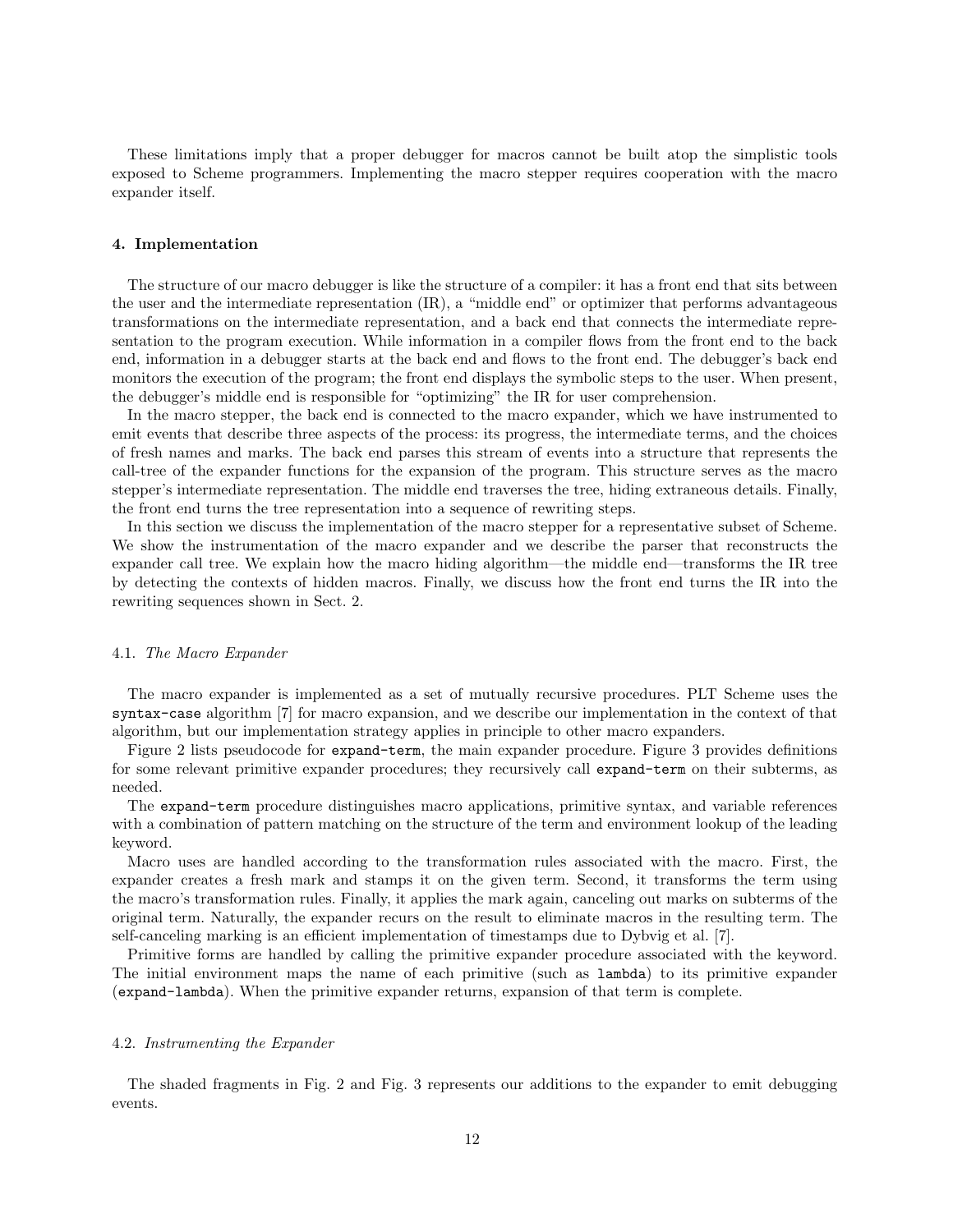These limitations imply that a proper debugger for macros cannot be built atop the simplistic tools exposed to Scheme programmers. Implementing the macro stepper requires cooperation with the macro expander itself.

#### 4. Implementation

The structure of our macro debugger is like the structure of a compiler: it has a front end that sits between the user and the intermediate representation (IR), a "middle end" or optimizer that performs advantageous transformations on the intermediate representation, and a back end that connects the intermediate representation to the program execution. While information in a compiler flows from the front end to the back end, information in a debugger starts at the back end and flows to the front end. The debugger's back end monitors the execution of the program; the front end displays the symbolic steps to the user. When present, the debugger's middle end is responsible for "optimizing" the IR for user comprehension.

In the macro stepper, the back end is connected to the macro expander, which we have instrumented to emit events that describe three aspects of the process: its progress, the intermediate terms, and the choices of fresh names and marks. The back end parses this stream of events into a structure that represents the call-tree of the expander functions for the expansion of the program. This structure serves as the macro stepper's intermediate representation. The middle end traverses the tree, hiding extraneous details. Finally, the front end turns the tree representation into a sequence of rewriting steps.

In this section we discuss the implementation of the macro stepper for a representative subset of Scheme. We show the instrumentation of the macro expander and we describe the parser that reconstructs the expander call tree. We explain how the macro hiding algorithm—the middle end—transforms the IR tree by detecting the contexts of hidden macros. Finally, we discuss how the front end turns the IR into the rewriting sequences shown in Sect. 2.

#### 4.1. The Macro Expander

The macro expander is implemented as a set of mutually recursive procedures. PLT Scheme uses the syntax-case algorithm [7] for macro expansion, and we describe our implementation in the context of that algorithm, but our implementation strategy applies in principle to other macro expanders.

Figure 2 lists pseudocode for expand-term, the main expander procedure. Figure 3 provides definitions for some relevant primitive expander procedures; they recursively call expand-term on their subterms, as needed.

The expand-term procedure distinguishes macro applications, primitive syntax, and variable references with a combination of pattern matching on the structure of the term and environment lookup of the leading keyword.

Macro uses are handled according to the transformation rules associated with the macro. First, the expander creates a fresh mark and stamps it on the given term. Second, it transforms the term using the macro's transformation rules. Finally, it applies the mark again, canceling out marks on subterms of the original term. Naturally, the expander recurs on the result to eliminate macros in the resulting term. The self-canceling marking is an efficient implementation of timestamps due to Dybvig et al. [7].

Primitive forms are handled by calling the primitive expander procedure associated with the keyword. The initial environment maps the name of each primitive (such as lambda) to its primitive expander (expand-lambda). When the primitive expander returns, expansion of that term is complete.

# 4.2. Instrumenting the Expander

The shaded fragments in Fig. 2 and Fig. 3 represents our additions to the expander to emit debugging events.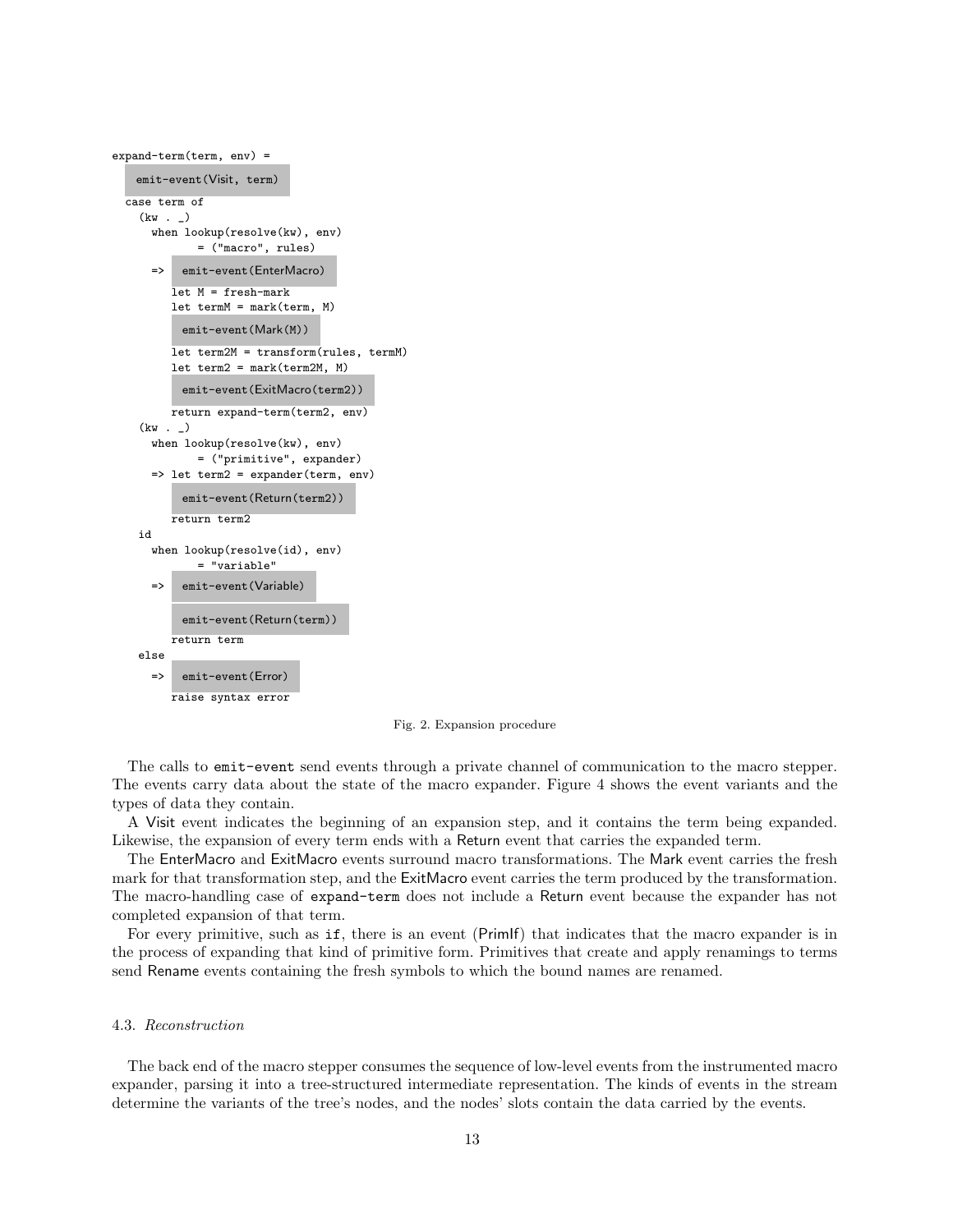```
expand-term(term, env) =
   emit-event(Visit, term)
  case term of
    (kw \tcdot )when lookup(resolve(kw), env)
             = ("macro", rules)
      => emit-event(EnterMacro)
         let M = fresh-mark
         let termM = mark(term, M)
           emit-event(Mark(M))
         let term2M = transform(rules, termM)
         let term2 = mark(term2M, M)emit-event(ExitMacro(term2))
         return expand-term(term2, env)
    (kw \tldots)when lookup(resolve(kw), env)
             = ("primitive", expander)
      => let term2 = expander(term, env)
           emit-event(Return(term2))
         return term2
    id
      when lookup(resolve(id), env)
             = "variable"
      => emit-event(Variable)
           emit-event(Return(term))
         return term
    else
      => emit-event(Error)
         raise syntax error
```
Fig. 2. Expansion procedure

The calls to emit-event send events through a private channel of communication to the macro stepper. The events carry data about the state of the macro expander. Figure 4 shows the event variants and the types of data they contain.

A Visit event indicates the beginning of an expansion step, and it contains the term being expanded. Likewise, the expansion of every term ends with a Return event that carries the expanded term.

The EnterMacro and ExitMacro events surround macro transformations. The Mark event carries the fresh mark for that transformation step, and the ExitMacro event carries the term produced by the transformation. The macro-handling case of expand-term does not include a Return event because the expander has not completed expansion of that term.

For every primitive, such as if, there is an event (PrimIf) that indicates that the macro expander is in the process of expanding that kind of primitive form. Primitives that create and apply renamings to terms send Rename events containing the fresh symbols to which the bound names are renamed.

#### 4.3. Reconstruction

The back end of the macro stepper consumes the sequence of low-level events from the instrumented macro expander, parsing it into a tree-structured intermediate representation. The kinds of events in the stream determine the variants of the tree's nodes, and the nodes' slots contain the data carried by the events.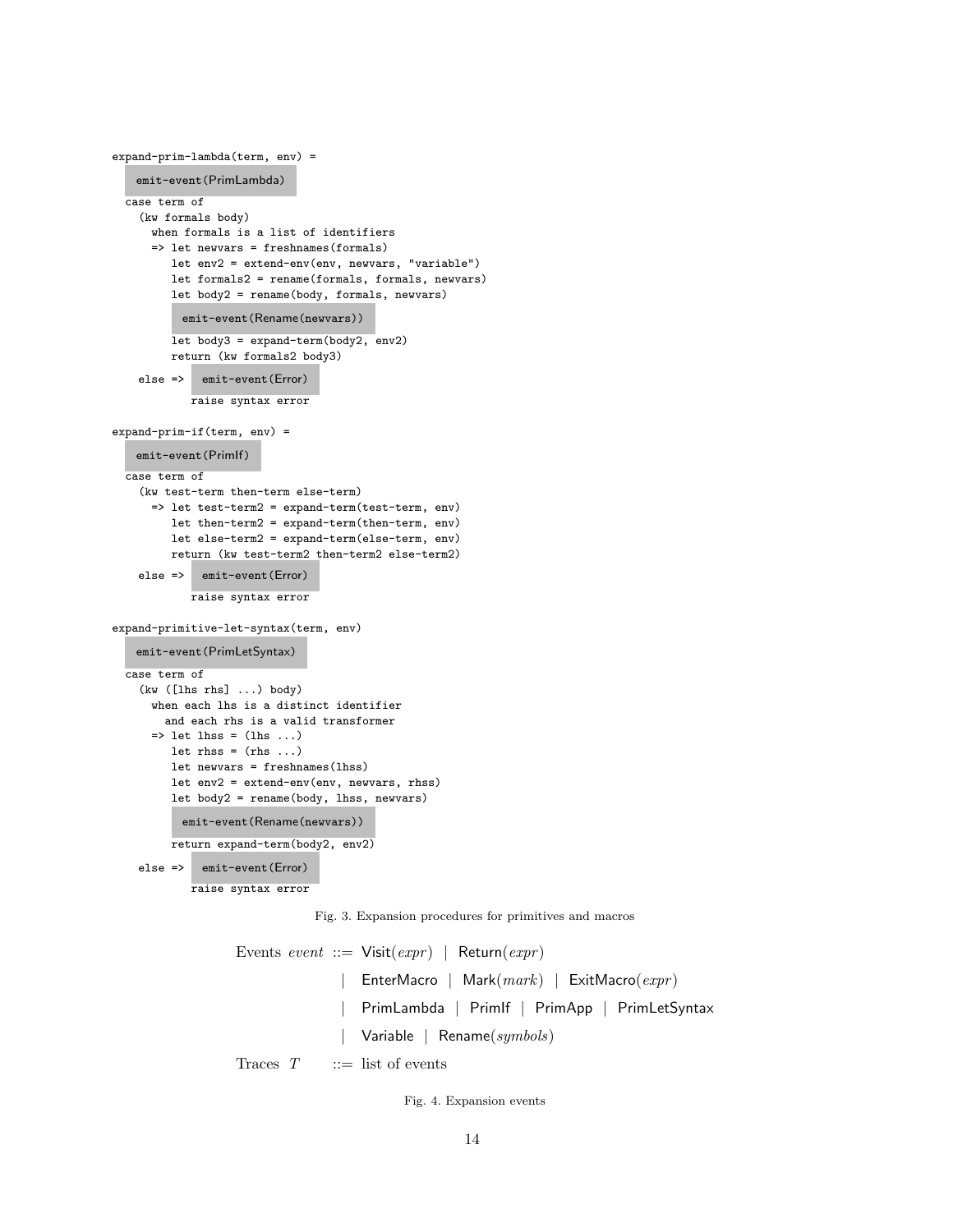```
expand-prim-lambda(term, env) =
   emit-event(PrimLambda)
 case term of
   (kw formals body)
     when formals is a list of identifiers
     => let newvars = freshnames(formals)
         let env2 = extend-env(env, newvars, "variable")
         let formals2 = rename(formals, formals, newvars)
         let body2 = rename(body, formals, newvars)
          emit-event(Rename(newvars))
         let body3 = expand-term(body2, env2)
         return (kw formals2 body3)
   else => emit-event(Error)
            raise syntax error
expand-prim-if(term, env) =
   emit-event(PrimIf)
 case term of
    (kw test-term then-term else-term)
     => let test-term2 = expand-term(test-term, env)
         let then-term2 = expand-term(then-term, env)
         let else-term2 = expand-term(else-term, env)
         return (kw test-term2 then-term2 else-term2)
   else => emit-event(Error)
            raise syntax error
expand-primitive-let-syntax(term, env)
   emit-event(PrimLetSyntax)
 case term of
    (kw ([lhs rhs] ...) body)
     when each lhs is a distinct identifier
       and each rhs is a valid transformer
      \Rightarrow let lhss = (lhs ...)
        let rhss = (rhs ...)
        let newvars = freshnames(lhss)
         let env2 = extend-env(env, newvars, rhss)
         let body2 = rename(body, lhss, newvars)
          emit-event(Rename(newvars))
         return expand-term(body2, env2)
   else => emit-event(Error)
            raise syntax error
```


```
Events event ::= Visit(exp) | Return(expr)
             | EnterMacro | Mark(mark) | ExitMacro(expr)PrimLambda | PrimIf | PrimApp | PrimLetSyntax
                Variable | Rename(symbols)
```
Traces  $T \quad ::=$  list of events

Fig. 4. Expansion events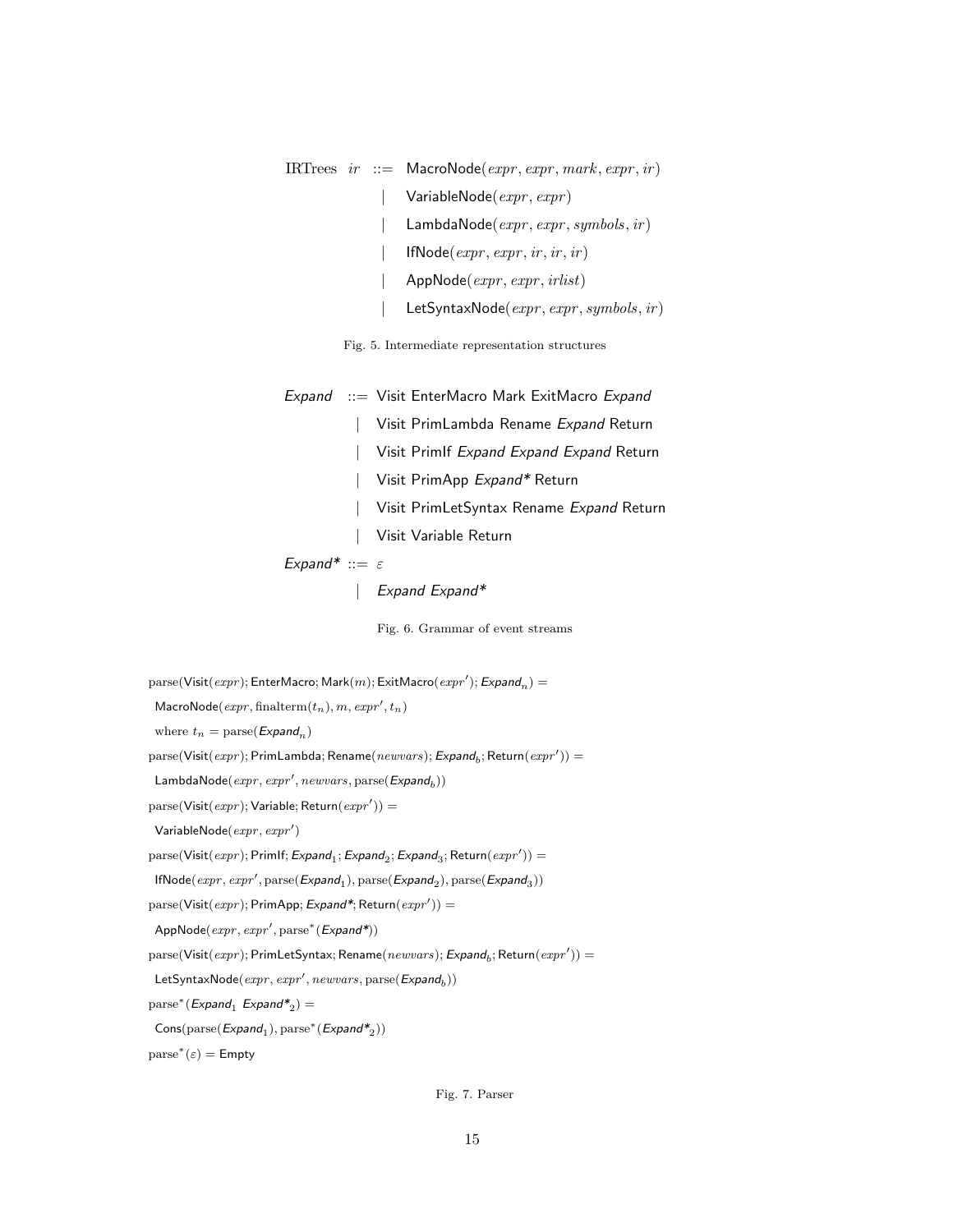|  | IRTrees $ir ::=$ MacroNode( $expr, expr, mark, expr, ir$ )   |
|--|--------------------------------------------------------------|
|  | VariableNode( $expr, expr$ )                                 |
|  | LambdaNode( $expr, expr, symbols, ir$ )                      |
|  | IfNode( $expr, expr, ir, ir, ir)$                            |
|  | $\vert$ AppNode( <i>expr</i> , <i>expr</i> , <i>irlist</i> ) |
|  | LetSyntaxNode( $expr, expr, symbols, ir$ )                   |

Fig. 5. Intermediate representation structures

```
Expand ::= Visit EnterMacro Mark ExitMacro Expand
```
- Visit PrimLambda Rename Expand Return
	- Visit PrimIf Expand Expand Expand Return
- Visit PrimApp Expand\* Return
- Visit PrimLetSyntax Rename Expand Return
- | Visit Variable Return

$$
Expand^* ::= \varepsilon
$$

Expand Expand\*

Fig. 6. Grammar of event streams

```
\mathrm{parse}(\mathsf{Visit}(\mathit{expr}); \mathsf{Enter} \mathsf{Macro}; \mathsf{Mark}(m); \mathsf{Exit}\mathsf{Macro}(\mathit{expr}'); \mathsf{Expand}_n) =
```

```
\mathsf{MacrolNode}(expr, \mathrm{finalterm}(t_n), m, expr', t_n)
```
where  $t_n = \text{parse}(Expand_n)$ 

 $\text{parse}(\text{Visit}(\textit{expr}); \textsf{PrimLambda}; \textsf{Rename}(\textit{newvars}); \textit{Expand}_b; \textsf{Return}(\textit{expr}')) =$ 

 $\textsf{LambdaNode}(expr, expr', newvars, parse(\textit{Expand}_b))$ 

```
\text{parse}(\text{Visit}(expr); \text{Variable}; \text{Return}(expr')) =
```
 $VariableNode(expr, expr')$ 

 $\text{parse}(\text{Visit}(expr); \text{PrimIf}; \text{Expand}_1; \text{Expand}_2; \text{Expand}_3; \text{Return}(expr')) =$ 

 ${\sf IfNode}(expr, expr', parse(Expand_1), parse(Expand_2), parse(Expand_3))$ 

```
parse(Visit(exp); PrimApp; Expand*, Return(exp')) =
```
AppNode $(exp, expr', parse^*(Expand^*))$ 

 $\text{parse}(\textsf{Visit}(\textit{expr}); \textsf{PrintLetSyntax}; \textsf{Rename}(\textit{newvars}); \textit{Expand}_b; \textsf{Return}(\textit{expr'})) =$ 

LetSyntaxNode $(\mathit{expr}, \mathit{expr}', \mathit{newvars}, \text{parse}(\textit{Expand}_b))$ 

 $\text{parse}^*(\text{Expand}_1 \text{ Expand*}_2) =$ 

 $\mathsf{Cons}(\mathsf{parse}(\mathit{Expand}_1), \mathsf{parse}^*(\mathit{Expand*_2}))$ 

 $\text{parse}^*(\varepsilon) = \text{Empty}$ 

Fig. 7. Parser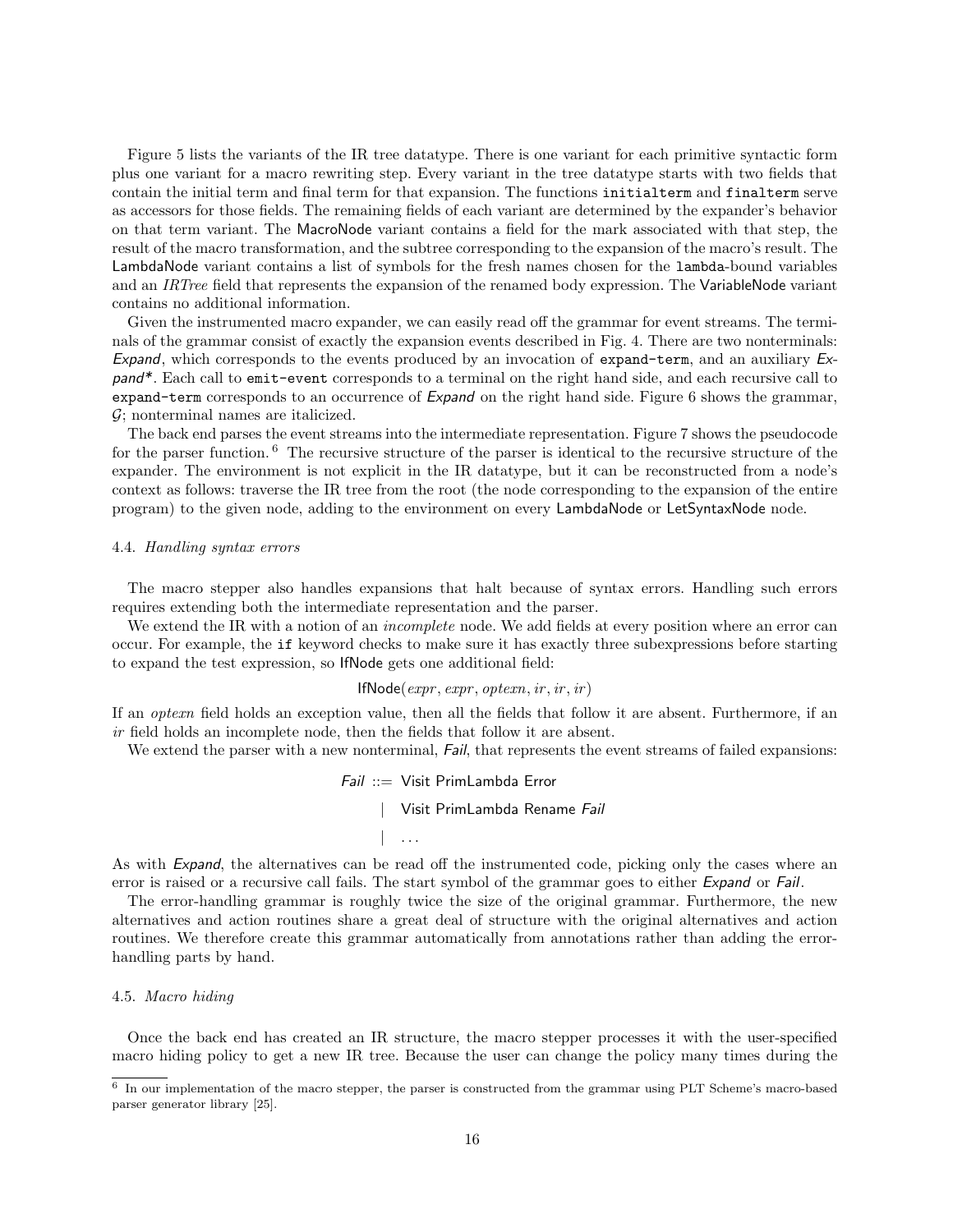Figure 5 lists the variants of the IR tree datatype. There is one variant for each primitive syntactic form plus one variant for a macro rewriting step. Every variant in the tree datatype starts with two fields that contain the initial term and final term for that expansion. The functions initialterm and finalterm serve as accessors for those fields. The remaining fields of each variant are determined by the expander's behavior on that term variant. The MacroNode variant contains a field for the mark associated with that step, the result of the macro transformation, and the subtree corresponding to the expansion of the macro's result. The LambdaNode variant contains a list of symbols for the fresh names chosen for the lambda-bound variables and an IRTree field that represents the expansion of the renamed body expression. The VariableNode variant contains no additional information.

Given the instrumented macro expander, we can easily read off the grammar for event streams. The terminals of the grammar consist of exactly the expansion events described in Fig. 4. There are two nonterminals: Expand, which corresponds to the events produced by an invocation of expand-term, and an auxiliary Expand\*. Each call to emit-event corresponds to a terminal on the right hand side, and each recursive call to expand-term corresponds to an occurrence of Expand on the right hand side. Figure 6 shows the grammar,  $\mathcal{G}$ ; nonterminal names are italicized.

The back end parses the event streams into the intermediate representation. Figure 7 shows the pseudocode for the parser function. <sup>6</sup> The recursive structure of the parser is identical to the recursive structure of the expander. The environment is not explicit in the IR datatype, but it can be reconstructed from a node's context as follows: traverse the IR tree from the root (the node corresponding to the expansion of the entire program) to the given node, adding to the environment on every LambdaNode or LetSyntaxNode node.

# 4.4. Handling syntax errors

The macro stepper also handles expansions that halt because of syntax errors. Handling such errors requires extending both the intermediate representation and the parser.

We extend the IR with a notion of an *incomplete* node. We add fields at every position where an error can occur. For example, the if keyword checks to make sure it has exactly three subexpressions before starting to expand the test expression, so IfNode gets one additional field:

IfNode( $expr, expr, optexn, ir, ir, ir)$ 

If an optexn field holds an exception value, then all the fields that follow it are absent. Furthermore, if an ir field holds an incomplete node, then the fields that follow it are absent.

We extend the parser with a new nonterminal, Fail, that represents the event streams of failed expansions:

 $Fail ::=$  Visit PrimLambda Error | Visit PrimLambda Rename Fail | . . .

As with Expand, the alternatives can be read off the instrumented code, picking only the cases where an error is raised or a recursive call fails. The start symbol of the grammar goes to either Expand or Fail.

The error-handling grammar is roughly twice the size of the original grammar. Furthermore, the new alternatives and action routines share a great deal of structure with the original alternatives and action routines. We therefore create this grammar automatically from annotations rather than adding the errorhandling parts by hand.

#### 4.5. Macro hiding

Once the back end has created an IR structure, the macro stepper processes it with the user-specified macro hiding policy to get a new IR tree. Because the user can change the policy many times during the

<sup>&</sup>lt;sup>6</sup> In our implementation of the macro stepper, the parser is constructed from the grammar using PLT Scheme's macro-based parser generator library [25].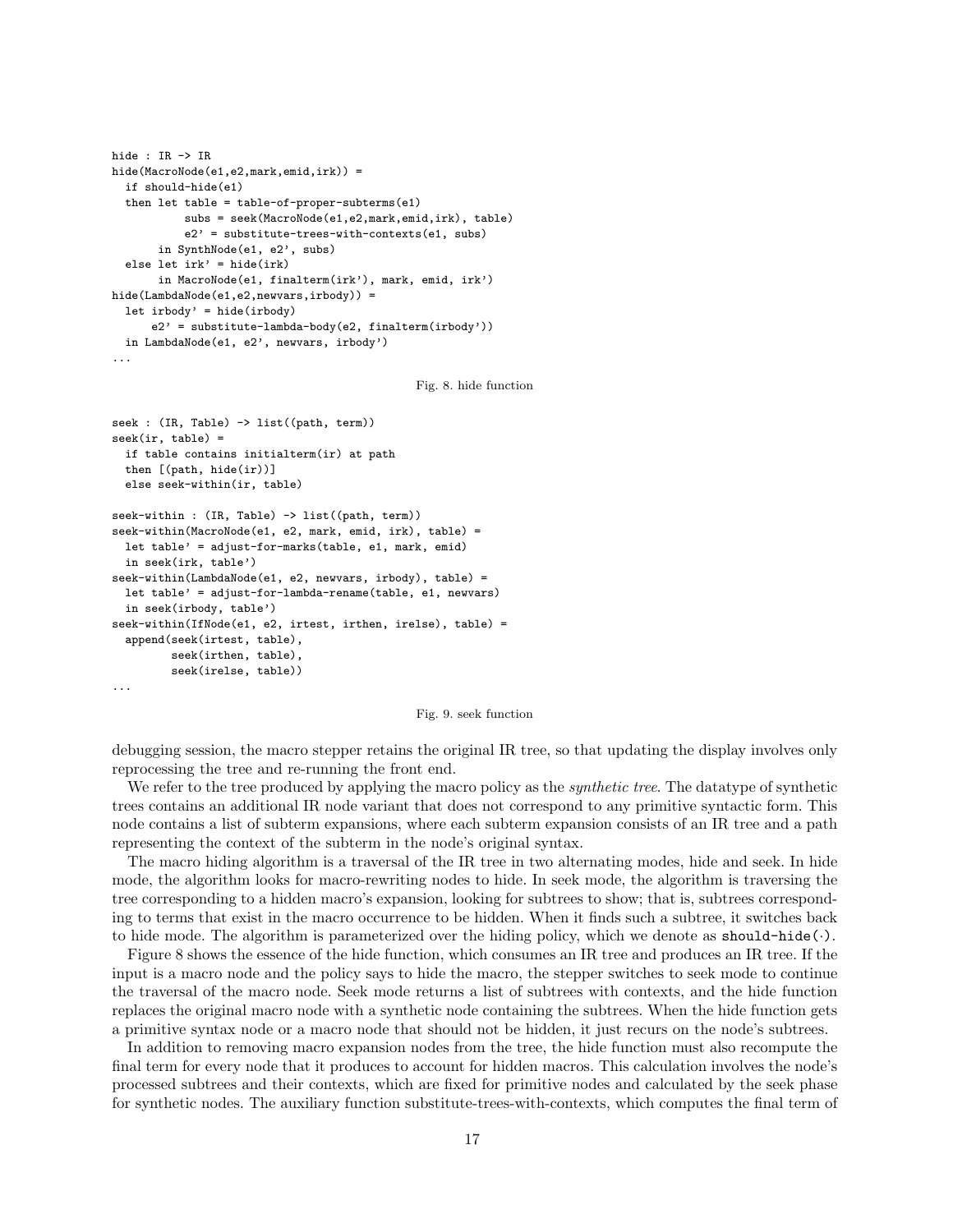```
hide : IR -> IR
hide(MacroNode(e1,e2,mark,emid,irk)) =
  if should-hide(e1)
  then let table = table-of-proper-subterms(e1)
           subs = seek(MacroNode(e1,e2,mark,emid,irk), table)
           e2' = substitute-trees-with-contexts(e1, subs)
       in SynthNode(e1, e2', subs)
  else let irk' = hide(irk)
       in MacroNode(e1, finalterm(irk'), mark, emid, irk')
hide(LambdaNode(e1,e2,newvars,irbody)) =
  let irbody' = hide(irbody)
      e2' = substitute-lambda-body(e2, finalterm(irbody'))
 in LambdaNode(e1, e2', newvars, irbody')
...
```
Fig. 8. hide function

```
seek : (IR, Table) -> list((path, term))
seek(ir, table) =
 if table contains initialterm(ir) at path
 then [(path, hide(ir))]
 else seek-within(ir, table)
seek-within : (IR, Table) -> list((path, term))
seek-within(MacroNode(e1, e2, mark, emid, irk), table) =
 let table' = adjust-for-marks(table, e1, mark, emid)
 in seek(irk, table')
seek-within(LambdaNode(e1, e2, newvars, irbody), table) =
 let table' = adjust-for-lambda-rename(table, e1, newvars)
 in seek(irbody, table')
seek-within(IfNode(e1, e2, irtest, irthen, irelse), table) =
 append(seek(irtest, table),
         seek(irthen, table),
         seek(irelse, table))
...
```
Fig. 9. seek function

debugging session, the macro stepper retains the original IR tree, so that updating the display involves only reprocessing the tree and re-running the front end.

We refer to the tree produced by applying the macro policy as the *synthetic tree*. The datatype of synthetic trees contains an additional IR node variant that does not correspond to any primitive syntactic form. This node contains a list of subterm expansions, where each subterm expansion consists of an IR tree and a path representing the context of the subterm in the node's original syntax.

The macro hiding algorithm is a traversal of the IR tree in two alternating modes, hide and seek. In hide mode, the algorithm looks for macro-rewriting nodes to hide. In seek mode, the algorithm is traversing the tree corresponding to a hidden macro's expansion, looking for subtrees to show; that is, subtrees corresponding to terms that exist in the macro occurrence to be hidden. When it finds such a subtree, it switches back to hide mode. The algorithm is parameterized over the hiding policy, which we denote as should-hide(·).

Figure 8 shows the essence of the hide function, which consumes an IR tree and produces an IR tree. If the input is a macro node and the policy says to hide the macro, the stepper switches to seek mode to continue the traversal of the macro node. Seek mode returns a list of subtrees with contexts, and the hide function replaces the original macro node with a synthetic node containing the subtrees. When the hide function gets a primitive syntax node or a macro node that should not be hidden, it just recurs on the node's subtrees.

In addition to removing macro expansion nodes from the tree, the hide function must also recompute the final term for every node that it produces to account for hidden macros. This calculation involves the node's processed subtrees and their contexts, which are fixed for primitive nodes and calculated by the seek phase for synthetic nodes. The auxiliary function substitute-trees-with-contexts, which computes the final term of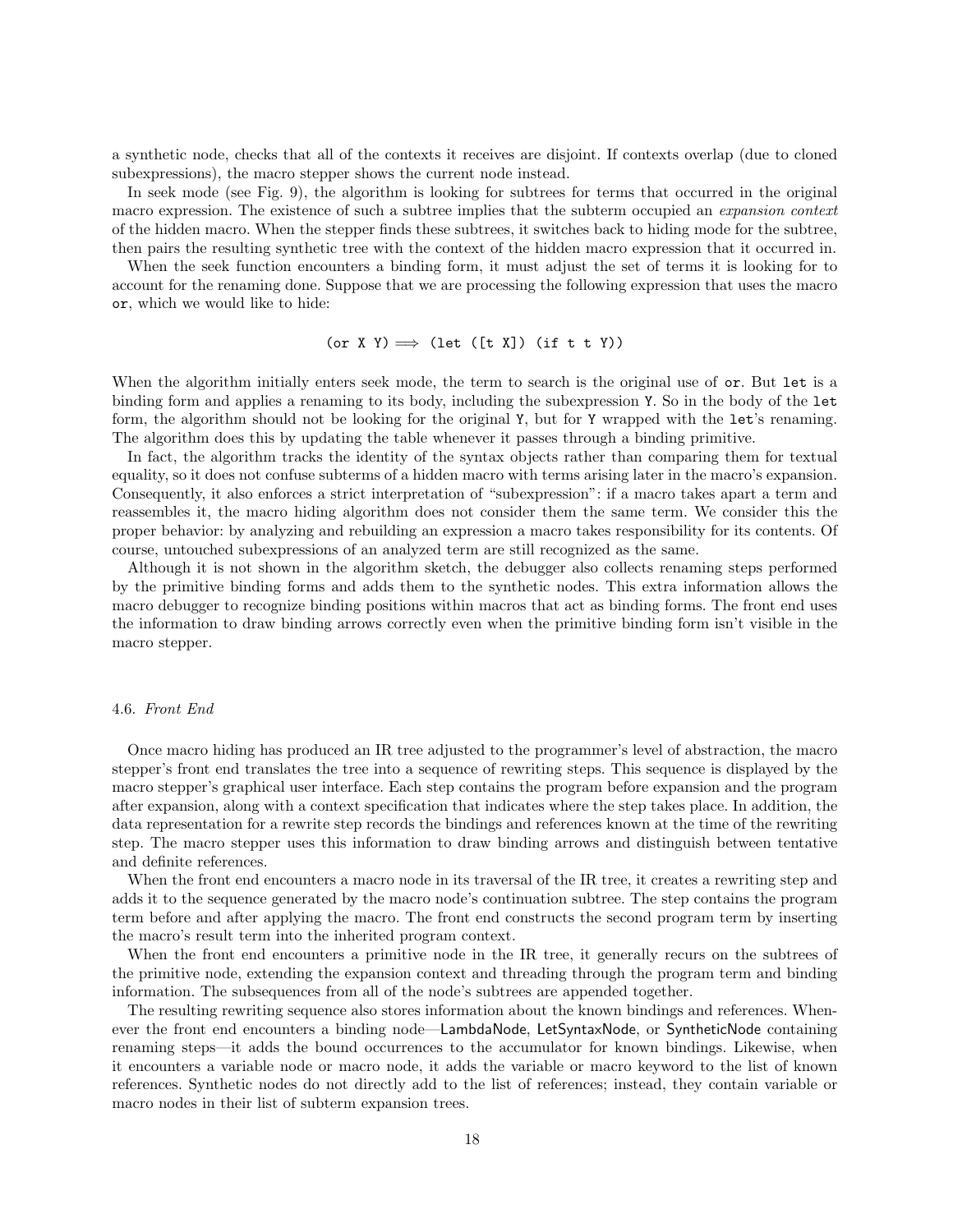a synthetic node, checks that all of the contexts it receives are disjoint. If contexts overlap (due to cloned subexpressions), the macro stepper shows the current node instead.

In seek mode (see Fig. 9), the algorithm is looking for subtrees for terms that occurred in the original macro expression. The existence of such a subtree implies that the subterm occupied an *expansion context* of the hidden macro. When the stepper finds these subtrees, it switches back to hiding mode for the subtree, then pairs the resulting synthetic tree with the context of the hidden macro expression that it occurred in.

When the seek function encounters a binding form, it must adjust the set of terms it is looking for to account for the renaming done. Suppose that we are processing the following expression that uses the macro or, which we would like to hide:

$$
(or X Y) \implies (let ([t X]) (if t t Y))
$$

When the algorithm initially enters seek mode, the term to search is the original use of or. But let is a binding form and applies a renaming to its body, including the subexpression Y. So in the body of the let form, the algorithm should not be looking for the original Y, but for Y wrapped with the let's renaming. The algorithm does this by updating the table whenever it passes through a binding primitive.

In fact, the algorithm tracks the identity of the syntax objects rather than comparing them for textual equality, so it does not confuse subterms of a hidden macro with terms arising later in the macro's expansion. Consequently, it also enforces a strict interpretation of "subexpression": if a macro takes apart a term and reassembles it, the macro hiding algorithm does not consider them the same term. We consider this the proper behavior: by analyzing and rebuilding an expression a macro takes responsibility for its contents. Of course, untouched subexpressions of an analyzed term are still recognized as the same.

Although it is not shown in the algorithm sketch, the debugger also collects renaming steps performed by the primitive binding forms and adds them to the synthetic nodes. This extra information allows the macro debugger to recognize binding positions within macros that act as binding forms. The front end uses the information to draw binding arrows correctly even when the primitive binding form isn't visible in the macro stepper.

## 4.6. Front End

Once macro hiding has produced an IR tree adjusted to the programmer's level of abstraction, the macro stepper's front end translates the tree into a sequence of rewriting steps. This sequence is displayed by the macro stepper's graphical user interface. Each step contains the program before expansion and the program after expansion, along with a context specification that indicates where the step takes place. In addition, the data representation for a rewrite step records the bindings and references known at the time of the rewriting step. The macro stepper uses this information to draw binding arrows and distinguish between tentative and definite references.

When the front end encounters a macro node in its traversal of the IR tree, it creates a rewriting step and adds it to the sequence generated by the macro node's continuation subtree. The step contains the program term before and after applying the macro. The front end constructs the second program term by inserting the macro's result term into the inherited program context.

When the front end encounters a primitive node in the IR tree, it generally recurs on the subtrees of the primitive node, extending the expansion context and threading through the program term and binding information. The subsequences from all of the node's subtrees are appended together.

The resulting rewriting sequence also stores information about the known bindings and references. Whenever the front end encounters a binding node—LambdaNode, LetSyntaxNode, or SyntheticNode containing renaming steps—it adds the bound occurrences to the accumulator for known bindings. Likewise, when it encounters a variable node or macro node, it adds the variable or macro keyword to the list of known references. Synthetic nodes do not directly add to the list of references; instead, they contain variable or macro nodes in their list of subterm expansion trees.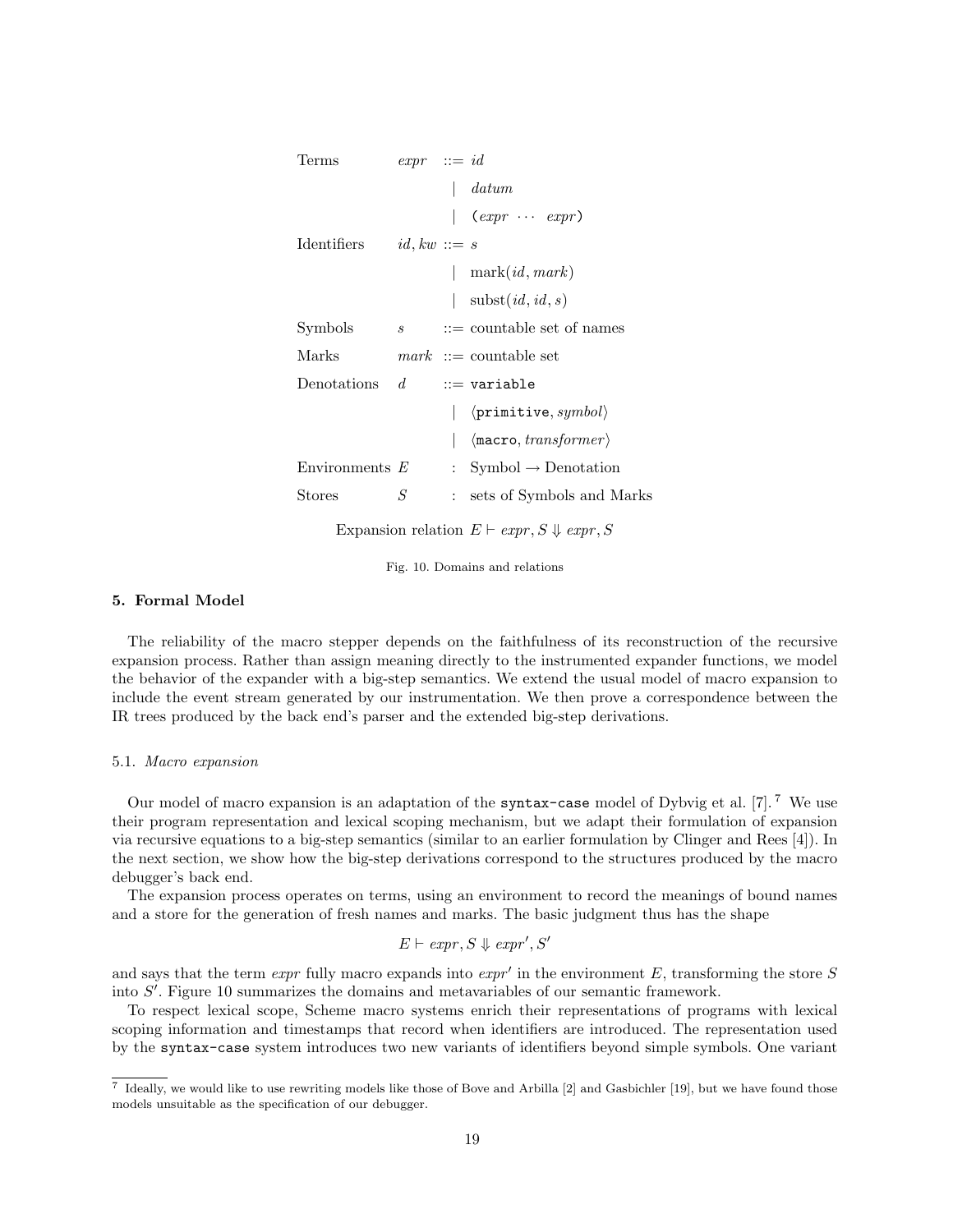| Terms            | $expr ::= id$    |                                                          |
|------------------|------------------|----------------------------------------------------------|
|                  |                  | datum                                                    |
|                  |                  | $\left(\text{expr} \cdots \text{expr}\right)$            |
| Identifiers      | $id, kw ::= s$   |                                                          |
|                  |                  | $\text{mark}(id, mark)$                                  |
|                  |                  | $\text{subst}(id, id, s)$                                |
| Symbols          | $\boldsymbol{s}$ | $\cdots$ countable set of names                          |
| Marks            |                  | $mark :: = countable set$                                |
| Denotations      | d                | $ ::= \text{variable}$                                   |
|                  |                  | $\langle$ primitive, symbol $\rangle$                    |
|                  |                  | $\langle$ macro, transformer $\rangle$                   |
| Environments $E$ |                  | : Symbol $\rightarrow$ Denotation                        |
| <b>Stores</b>    | S                | sets of Symbols and Marks                                |
|                  |                  | Expansion relation $E \vdash expr, S \Downarrow expr, S$ |

Fig. 10. Domains and relations

# 5. Formal Model

The reliability of the macro stepper depends on the faithfulness of its reconstruction of the recursive expansion process. Rather than assign meaning directly to the instrumented expander functions, we model the behavior of the expander with a big-step semantics. We extend the usual model of macro expansion to include the event stream generated by our instrumentation. We then prove a correspondence between the IR trees produced by the back end's parser and the extended big-step derivations.

#### 5.1. Macro expansion

Our model of macro expansion is an adaptation of the syntax-case model of Dybvig et al. [7]. <sup>7</sup> We use their program representation and lexical scoping mechanism, but we adapt their formulation of expansion via recursive equations to a big-step semantics (similar to an earlier formulation by Clinger and Rees [4]). In the next section, we show how the big-step derivations correspond to the structures produced by the macro debugger's back end.

The expansion process operates on terms, using an environment to record the meanings of bound names and a store for the generation of fresh names and marks. The basic judgment thus has the shape

$$
E \vdash expr, S \Downarrow expr', S'
$$

and says that the term  $\exp r$  fully macro expands into  $\exp r'$  in the environment E, transforming the store S into  $S'$ . Figure 10 summarizes the domains and metavariables of our semantic framework.

To respect lexical scope, Scheme macro systems enrich their representations of programs with lexical scoping information and timestamps that record when identifiers are introduced. The representation used by the syntax-case system introduces two new variants of identifiers beyond simple symbols. One variant

<sup>7</sup> Ideally, we would like to use rewriting models like those of Bove and Arbilla [2] and Gasbichler [19], but we have found those models unsuitable as the specification of our debugger.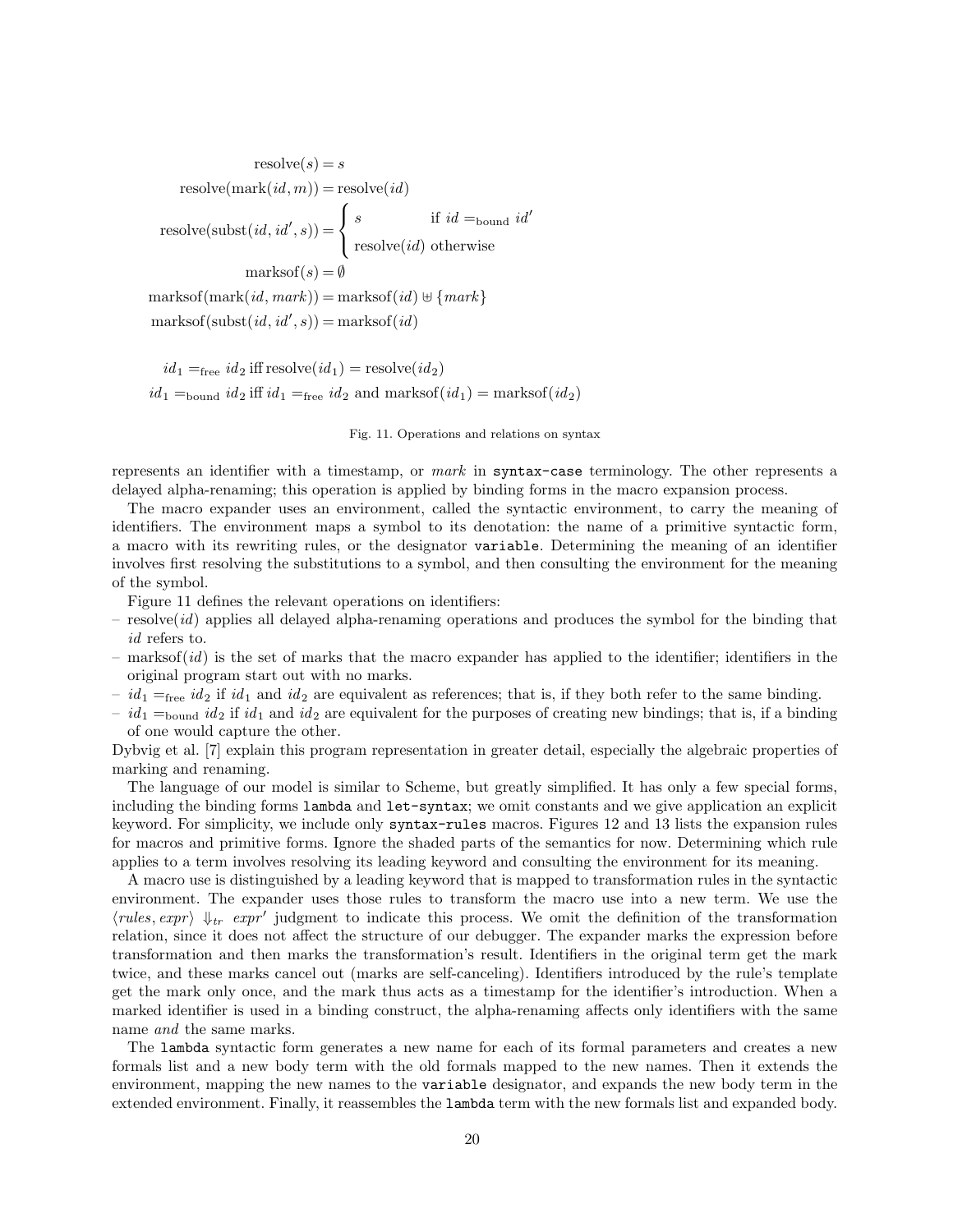$resolve(s) = s$  $resolve(maxk(id, m)) = resolve(id)$  $resolve(subst(id, id', s)) =$  $\sqrt{ }$ J  $\mathcal{L}$ s if  $id =$ <sub>bound</sub>  $id'$  $resolve(id)$  otherwise  $marksof(s) = \emptyset$  $mark(ind, mark)) = marksof(id) \cup \{mark\}$  $marksof(subst(id, id', s)) = marksof(id)$ 

 $id_1 =_{\text{free}} id_2$  iff resolve $(id_1) = \text{resolve}(id_2)$  $id_1 =_{bound} id_2$  iff  $id_1 =_{free} id_2$  and marksof $(id_1) =$  marksof $(id_2)$ 

Fig. 11. Operations and relations on syntax

represents an identifier with a timestamp, or mark in syntax-case terminology. The other represents a delayed alpha-renaming; this operation is applied by binding forms in the macro expansion process.

The macro expander uses an environment, called the syntactic environment, to carry the meaning of identifiers. The environment maps a symbol to its denotation: the name of a primitive syntactic form, a macro with its rewriting rules, or the designator variable. Determining the meaning of an identifier involves first resolving the substitutions to a symbol, and then consulting the environment for the meaning of the symbol.

Figure 11 defines the relevant operations on identifiers:

- resolve(id) applies all delayed alpha-renaming operations and produces the symbol for the binding that id refers to.
- marksof( $id$ ) is the set of marks that the macro expander has applied to the identifier; identifiers in the original program start out with no marks.
- $id_1 =_{\text{free}} id_2$  if  $id_1$  and  $id_2$  are equivalent as references; that is, if they both refer to the same binding.
- $-id_1 =_{\text{bound}} id_2$  if  $id_1$  and  $id_2$  are equivalent for the purposes of creating new bindings; that is, if a binding of one would capture the other.

Dybvig et al. [7] explain this program representation in greater detail, especially the algebraic properties of marking and renaming.

The language of our model is similar to Scheme, but greatly simplified. It has only a few special forms, including the binding forms lambda and let-syntax; we omit constants and we give application an explicit keyword. For simplicity, we include only syntax-rules macros. Figures 12 and 13 lists the expansion rules for macros and primitive forms. Ignore the shaded parts of the semantics for now. Determining which rule applies to a term involves resolving its leading keyword and consulting the environment for its meaning.

A macro use is distinguished by a leading keyword that is mapped to transformation rules in the syntactic environment. The expander uses those rules to transform the macro use into a new term. We use the  $\langle rules, expr \rangle \Downarrow_{tr} expr'$  judgment to indicate this process. We omit the definition of the transformation relation, since it does not affect the structure of our debugger. The expander marks the expression before transformation and then marks the transformation's result. Identifiers in the original term get the mark twice, and these marks cancel out (marks are self-canceling). Identifiers introduced by the rule's template get the mark only once, and the mark thus acts as a timestamp for the identifier's introduction. When a marked identifier is used in a binding construct, the alpha-renaming affects only identifiers with the same name and the same marks.

The lambda syntactic form generates a new name for each of its formal parameters and creates a new formals list and a new body term with the old formals mapped to the new names. Then it extends the environment, mapping the new names to the variable designator, and expands the new body term in the extended environment. Finally, it reassembles the lambda term with the new formals list and expanded body.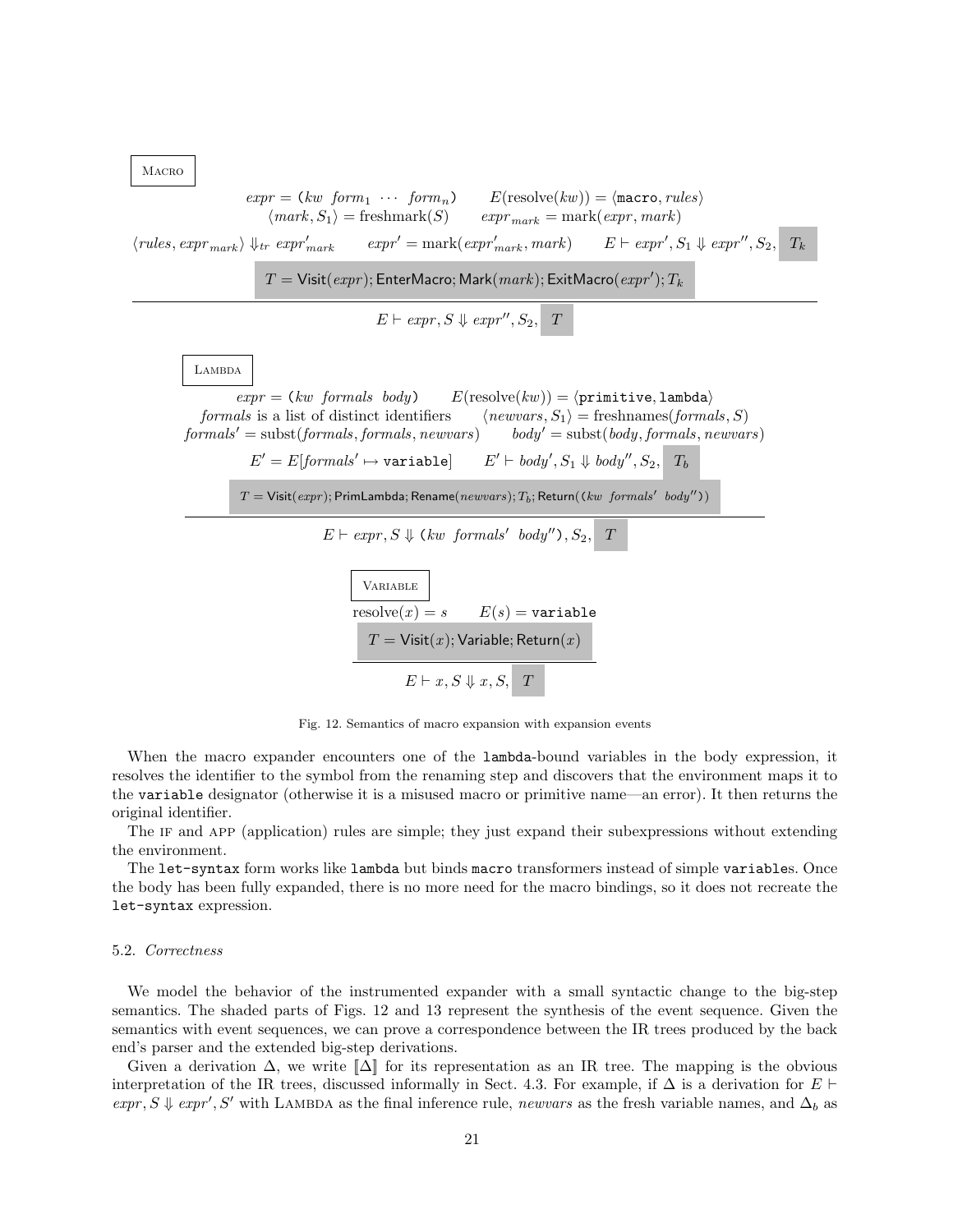MACRO

$$
expr = (kw \ form_1 \cdots \ form_n) \qquad E(\text{resolve}(kw)) = \langle \text{macro}, \text{rules} \rangle
$$
\n
$$
\langle \text{mark}, S_1 \rangle = \text{freshmark}(S) \qquad expr' \max = \text{mark}(expr, mark)
$$
\n
$$
\langle \text{rules}, expr \max \rangle \Downarrow_{tr} expr'_{mark} \qquad expr' = \max(\text{expr'}_{mark}, mark) \qquad E \vdash expr', S_1 \Downarrow expr'', S_2, T_k
$$
\n
$$
T = \text{Visit}(\text{expr}); \text{Enter} \text{March}; \text{Mark}(\text{mark}, \text{mark})) \qquad E \vdash expr'', S_1 \Downarrow expr'', S_2, T_k
$$
\n
$$
\boxed{\text{Lambad}}
$$
\n
$$
expr = (\text{kw} \text{ formulas } \text{body}) \qquad E(\text{resolve}(kw)) = \langle \text{primitive}, \text{lambda}\rangle
$$
\n
$$
\text{formals is a list of distinct identifiers} \qquad \langle \text{newvars}, S_1 \rangle = \text{freshnames}(\text{formals}, S)
$$
\n
$$
\text{formals'} = \text{subst}(\text{formals}, \text{formals}, \text{newars}) \qquad \text{body'} = \text{subst}(\text{body}, \text{formals}, newvars)
$$
\n
$$
E' = E[\text{formals'} \mapsto \text{variable}] \qquad E' \vdash \text{body}', S_1 \Downarrow \text{body}', S_2, T_b
$$
\n
$$
T = \text{Visit}(\text{expr}); \text{PrimLambda}; \text{Rename}(\text{newvars}); T_b; \text{Return}((\text{kw} \text{ formulas'} \text{body}''))
$$
\n
$$
E \vdash expr, S \Downarrow (\text{kw} \text{formals'} \text{body}''), S_2, T_k
$$
\n
$$
\boxed{\text{VARIABLE}}
$$
\n
$$
\text{resolve}(x) = s \qquad E(s) = \text{variable}
$$
\n
$$
T = \text{Visit}(x); \text{Variable}; \text{Return}(x)
$$

Fig. 12. Semantics of macro expansion with expansion events

When the macro expander encounters one of the lambda-bound variables in the body expression, it resolves the identifier to the symbol from the renaming step and discovers that the environment maps it to the variable designator (otherwise it is a misused macro or primitive name—an error). It then returns the original identifier.

The if and app (application) rules are simple; they just expand their subexpressions without extending the environment.

The let-syntax form works like lambda but binds macro transformers instead of simple variables. Once the body has been fully expanded, there is no more need for the macro bindings, so it does not recreate the let-syntax expression.

# 5.2. Correctness

We model the behavior of the instrumented expander with a small syntactic change to the big-step semantics. The shaded parts of Figs. 12 and 13 represent the synthesis of the event sequence. Given the semantics with event sequences, we can prove a correspondence between the IR trees produced by the back end's parser and the extended big-step derivations.

Given a derivation  $\Delta$ , we write  $\llbracket \Delta \rrbracket$  for its representation as an IR tree. The mapping is the obvious interpretation of the IR trees, discussed informally in Sect. 4.3. For example, if  $\Delta$  is a derivation for E  $\vdash$  $expr, S \Downarrow expr', S'$  with LAMBDA as the final inference rule, newvars as the fresh variable names, and  $\Delta_b$  as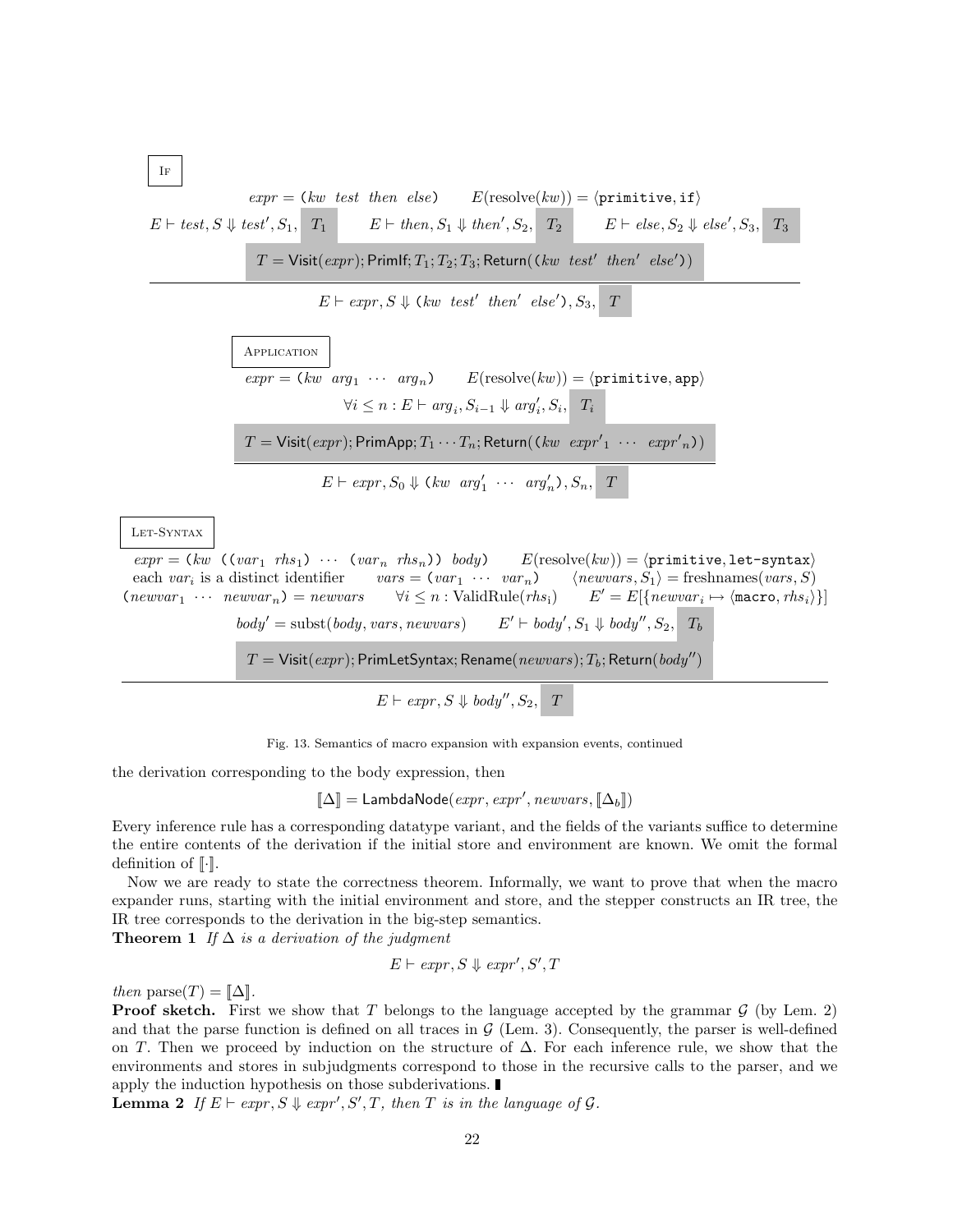$$
expr = (kw \text{ test then else}) \qquad E(\text{resolve}(kw)) = \langle \text{primitive}, \text{if} \rangle
$$
\n
$$
E \vdash test, S \Downarrow test', S_1, T_1 \qquad E \vdash then, S_1 \Downarrow then', S_2, T_2 \qquad E \vdash else, S_2 \Downarrow else', S_3, T_3
$$
\n
$$
T = \text{Visit}(expr); \text{PrimIf}; T_1; T_2; T_3; \text{Return}((kw \text{ test}' \text{ then}' \text{ else}'))
$$
\n
$$
E \vdash expr, S \Downarrow (kw \text{ test}' \text{ then}' \text{ else}'), S_3, T
$$
\n
$$
expr = (kw \text{ arg}_1 \cdots \text{ arg}_n) \qquad E(\text{resolve}(kw)) = \langle \text{primitive}, \text{app} \rangle
$$
\n
$$
\forall i \leq n : E \vdash arg_i, S_{i-1} \Downarrow arg'_i, S_i, T_i
$$
\n
$$
T = \text{Visit}(expr); \text{PrimApp}; T_1 \cdots T_n; \text{Return}((kw \text{ expr'}_1 \cdots \text{ expr'}_n))
$$
\n
$$
E \vdash expr, S_0 \Downarrow (kw \text{ arg}'_1 \cdots \text{ arg}'_n), S_n, T
$$

## Let-Syntax

 $\vert$  IF  $\vert$ 

 $expr = (kw \ ((var_1 \ rhspace{-1.5pt}/\ \text{th} \cdot \text{th} \cdot \text{th} \cdot \text{th} \cdot \text{th} \cdot \text{th} \cdot \text{th} \cdot \text{th} \cdot \text{th} \cdot \text{th} \cdot \text{th} \cdot \text{th} \cdot \text{th} \cdot \text{th} \cdot \text{th} \cdot \text{th} \cdot \text{th} \cdot \text{th} \cdot \text{th} \cdot \text{th} \cdot \text{th} \cdot \text{th} \cdot \text{th} \cdot \text{th} \cdot \text{th} \cdot \text{th} \cdot \text{th} \cdot \text{th} \cdot \text{th$ each var<sub>i</sub> is a distinct identifier vars =  $(var_1 \cdots var_n)$   $\langle newvars, S_1 \rangle$  = freshnames(vars, S)  $(newvar_1 \cdots newvar_n) = newvars \quad \forall i \leq n : \text{ValidRule}(rhs_i) \quad E' = E[\{newvar_i \mapsto \langle \text{macro}, \text{rhs}_i \rangle\}]$  $body' = \text{subst}(body, vars, newvars)$   $E' \vdash body', S_1 \Downarrow body'', S_2, T_b$ 

 $T = \text{Visit}(expr)$ ; PrimLetSyntax; Rename $(newvars)$ ;  $T_b$ ; Return $(body'')$ 

 $E \vdash expr, S \Downarrow body'', S_2, \boxed{T}$ 



the derivation corresponding to the body expression, then

 $[\![\Delta]\!] = \mathsf{LambdaNode}(expr, expr', newvars, [\![\Delta_b]\!])$ 

Every inference rule has a corresponding datatype variant, and the fields of the variants suffice to determine the entire contents of the derivation if the initial store and environment are known. We omit the formal definition of  $\lbrack \cdot \rbrack$ .

Now we are ready to state the correctness theorem. Informally, we want to prove that when the macro expander runs, starting with the initial environment and store, and the stepper constructs an IR tree, the IR tree corresponds to the derivation in the big-step semantics.

**Theorem 1** If  $\Delta$  is a derivation of the judgment

$$
E \vdash expr, S \Downarrow expr', S', T
$$

then parse $(T) = \llbracket \Delta \rrbracket$ .

**Proof sketch.** First we show that T belongs to the language accepted by the grammar  $\mathcal{G}$  (by Lem. 2) and that the parse function is defined on all traces in  $G$  (Lem. 3). Consequently, the parser is well-defined on T. Then we proceed by induction on the structure of  $\Delta$ . For each inference rule, we show that the environments and stores in subjudgments correspond to those in the recursive calls to the parser, and we apply the induction hypothesis on those subderivations.

**Lemma 2** If  $E \vdash expr, S \Downarrow expr', S', T$ , then T is in the language of  $G$ .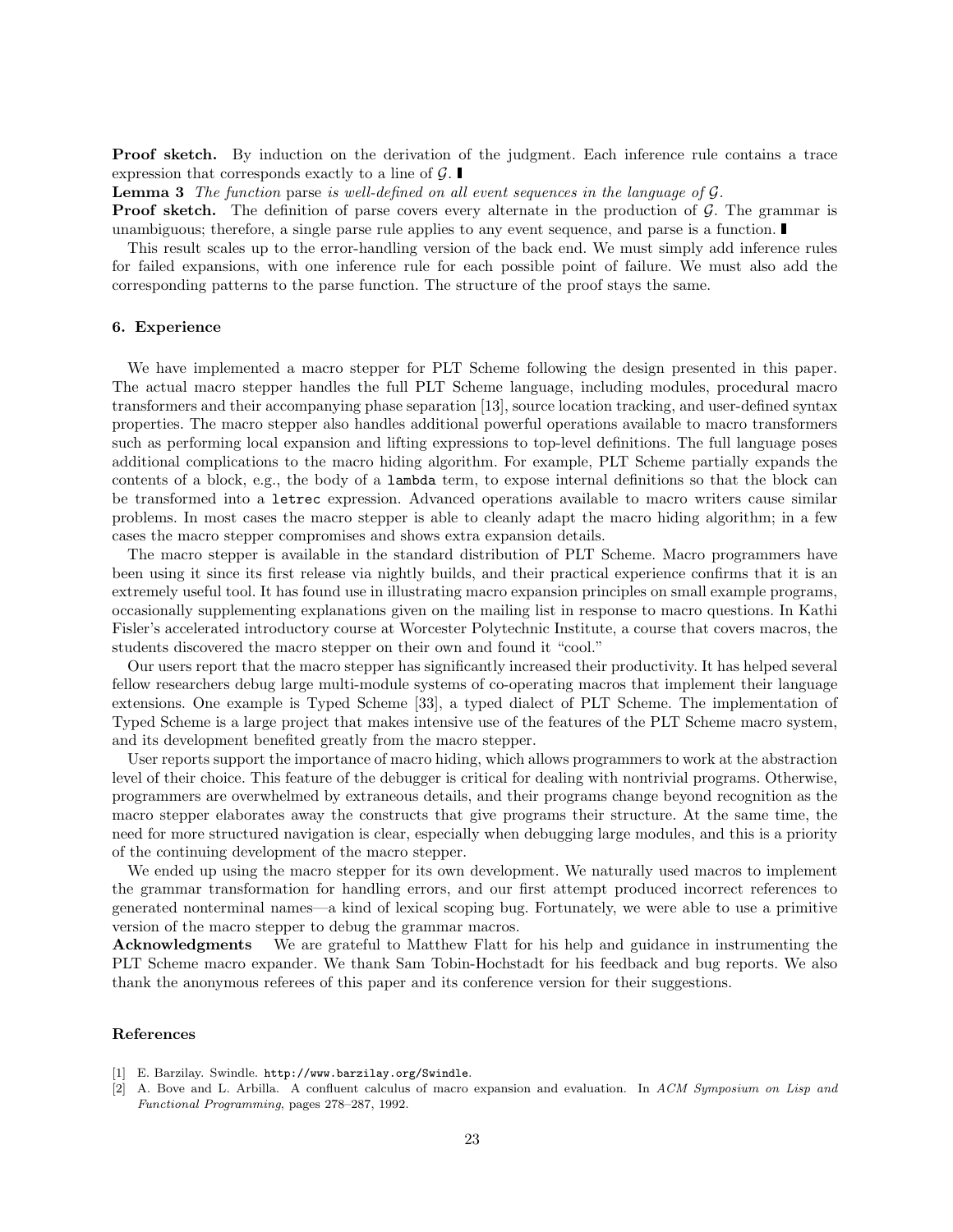**Proof sketch.** By induction on the derivation of the judgment. Each inference rule contains a trace expression that corresponds exactly to a line of  $\mathcal{G}$ .

**Lemma 3** The function parse is well-defined on all event sequences in the language of  $\mathcal{G}$ .

**Proof sketch.** The definition of parse covers every alternate in the production of  $\mathcal{G}$ . The grammar is unambiguous; therefore, a single parse rule applies to any event sequence, and parse is a function.

This result scales up to the error-handling version of the back end. We must simply add inference rules for failed expansions, with one inference rule for each possible point of failure. We must also add the corresponding patterns to the parse function. The structure of the proof stays the same.

#### 6. Experience

We have implemented a macro stepper for PLT Scheme following the design presented in this paper. The actual macro stepper handles the full PLT Scheme language, including modules, procedural macro transformers and their accompanying phase separation [13], source location tracking, and user-defined syntax properties. The macro stepper also handles additional powerful operations available to macro transformers such as performing local expansion and lifting expressions to top-level definitions. The full language poses additional complications to the macro hiding algorithm. For example, PLT Scheme partially expands the contents of a block, e.g., the body of a lambda term, to expose internal definitions so that the block can be transformed into a letrec expression. Advanced operations available to macro writers cause similar problems. In most cases the macro stepper is able to cleanly adapt the macro hiding algorithm; in a few cases the macro stepper compromises and shows extra expansion details.

The macro stepper is available in the standard distribution of PLT Scheme. Macro programmers have been using it since its first release via nightly builds, and their practical experience confirms that it is an extremely useful tool. It has found use in illustrating macro expansion principles on small example programs, occasionally supplementing explanations given on the mailing list in response to macro questions. In Kathi Fisler's accelerated introductory course at Worcester Polytechnic Institute, a course that covers macros, the students discovered the macro stepper on their own and found it "cool."

Our users report that the macro stepper has significantly increased their productivity. It has helped several fellow researchers debug large multi-module systems of co-operating macros that implement their language extensions. One example is Typed Scheme [33], a typed dialect of PLT Scheme. The implementation of Typed Scheme is a large project that makes intensive use of the features of the PLT Scheme macro system, and its development benefited greatly from the macro stepper.

User reports support the importance of macro hiding, which allows programmers to work at the abstraction level of their choice. This feature of the debugger is critical for dealing with nontrivial programs. Otherwise, programmers are overwhelmed by extraneous details, and their programs change beyond recognition as the macro stepper elaborates away the constructs that give programs their structure. At the same time, the need for more structured navigation is clear, especially when debugging large modules, and this is a priority of the continuing development of the macro stepper.

We ended up using the macro stepper for its own development. We naturally used macros to implement the grammar transformation for handling errors, and our first attempt produced incorrect references to generated nonterminal names—a kind of lexical scoping bug. Fortunately, we were able to use a primitive version of the macro stepper to debug the grammar macros.

Acknowledgments We are grateful to Matthew Flatt for his help and guidance in instrumenting the PLT Scheme macro expander. We thank Sam Tobin-Hochstadt for his feedback and bug reports. We also thank the anonymous referees of this paper and its conference version for their suggestions.

## References

- [1] E. Barzilay. Swindle. http://www.barzilay.org/Swindle.
- [2] A. Bove and L. Arbilla. A confluent calculus of macro expansion and evaluation. In ACM Symposium on Lisp and Functional Programming, pages 278–287, 1992.